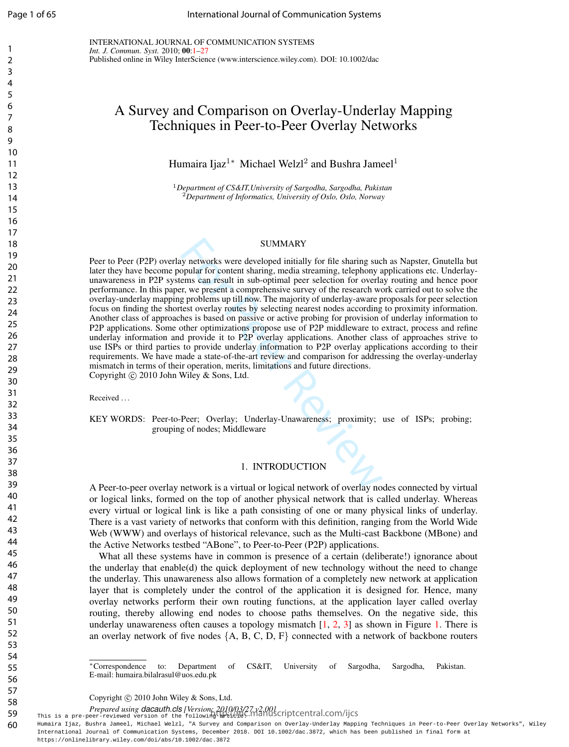$\mathbf{1}$  $\overline{2}$  $\overline{3}$  $\overline{4}$ 

INTERNATIONAL JOURNAL OF COMMUNICATION SYSTEMS *Int. J. Commun. Syst.* 2010; 00 : 1 –27 Published online in Wiley InterScience (www.interscience.wiley.com). DOI: 10.1002/dac

# A Survey and Comparison on Overlay-Underlay Mapping Techniques in Peer-to-Peer Overlay Networks

Humaira Ijaz<sup>1\*</sup> Michael Welzl<sup>2</sup> and Bushra Jameel<sup>1</sup>

<sup>1</sup>*Department of CS&IT,University of Sargodha, Sargodha, Pakistan* <sup>2</sup>*Department of Informatics, University of Oslo, Oslo, Norway*

## SUMMARY

SUMMARY<br>
SUMMARY<br>
SUMMARY<br>
SUMMARY<br>
SUMMARY<br>
SUMMARY<br>
SUMMARY<br>
SUPURID TO COMORT SUPPORT SUPPORT SUPPORT SUPPORT SUPPORT SUPPORT SUPPORT SUPPORT SUPPORT SUPPORT SUPPORT SUPPORT SUPPORT SUPPORT AND TO SUPPORT ON the state o Peer to Peer (P2P) overlay networks were developed initially for file sharing such as Napster, Gnutella but later they have become popular for content sharing, media streaming, telephony applications etc. Underlayunawareness in P2P systems can result in sub-optimal peer selection for overlay routing and hence poor performance. In this paper, we present a comprehensive survey of the research work carried out to solve the overlay-underlay mapping problems up till now. The majority of underlay-aware proposals for peer selection focus on finding the shortest overlay routes by selecting nearest nodes according to proximity information. Another class of approaches is based on passive or active probing for provision of underlay information to P2P applications. Some other optimizations propose use of P2P middleware to extract, process and refine underlay information and provide it to P2P overlay applications. Another class of approaches strive to use ISPs or third parties to provide underlay information to P2P overlay applications according to their requirements. We have made a state-of-the-art review and comparison for addressing the overlay-underlay mismatch in terms of their operation, merits, limitations and future directions. Copyright © 2010 John Wiley & Sons, Ltd.

Received . . .

KEY WORDS: Peer-to-Peer; Overlay; Underlay-Unawareness; proximity; use of ISPs; probing; grouping of nodes; Middleware

## 1. INTRODUCTION

A Peer-to-peer overlay network is a virtual or logical network of overlay nodes connected by virtual or logical links, formed on the top of another physical network that is called underlay. Whereas every virtual or logical link is like a path consisting of one or many physical links of underlay. There is a vast variety of networks that conform with this definition, ranging from the World Wide Web (WWW) and overlays of historical relevance, such as the Multi-cast Backbone (MBone) and the Active Networks testbed "ABone", to Peer-to-Peer (P2P) applications.

What all these systems have in common is presence of a certain (deliberate!) ignorance about the underlay that enable(d) the quick deployment of new technology without the need to change the underlay. This unawareness also allows formation of a completely new network at application layer that is completely under the control of the application it is designed for. Hence, many overlay networks perform their own routing functions, at the application layer called overlay routing, thereby allowing end nodes to choose paths themselves. On the negative side, this underlay unawareness often causes a topology mismatch [1, 2, 3] as shown in Figure 1. There is an overlay network of five nodes *{*A, B, C, D, F *}* connected with a network of backbone routers

⇤Correspondence to: Department of CS&IT, University of Sargodha, Sargodha, Pakistan. E-mail: humaira.bilalrasul@uos.edu.pk

Copyright © 2010 John Wiley & Sons, Ltd.

*Prepared using dacauth.cls [Version: 2010/03/27 v2.001*<br>This is a pre-peer-reviewed version of the following lapticle: manuscriptcentral.com/ijcs

Humaira Ijaz, Bushra Jameel, Michael Welzl, "A Survey and Comparison on Overlay-Underlay Mapping Techniques in Peer-to-Peer Overlay Networks", Wiley International Journal of Communication Systems, December 2018. DOI 10.1002/dac.3872, which has been published in final form at https://onlinelibrary.wiley.com/doi/abs/10.1002/dac.3872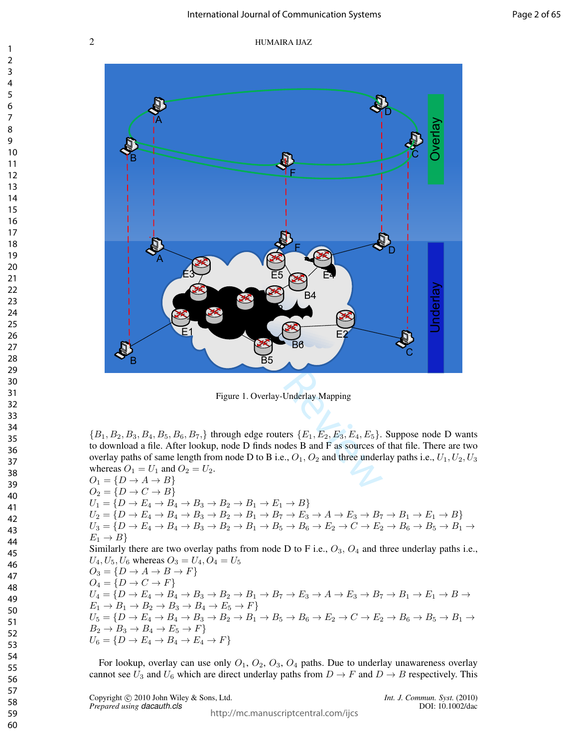

Figure 1. Overlay-Underlay Mapping

 ${B_1, B_2, B_3, B_4, B_5, B_6, B_7}$  through edge routers  ${E_1, E_2, E_3, E_4, E_5}$ . Suppose node D wants to download a file. After lookup, node D finds nodes B and F as sources of that file. There are two overlay paths of same length from node D to B i.e.,  $O_1$ ,  $O_2$  and three underlay paths i.e.,  $U_1$ ,  $U_2$ ,  $U_3$ whereas  $O_1 = U_1$  and  $O_2 = U_2$ .

 $O_1 = \{D \to A \to B\}$  $O_2 = \{D \rightarrow C \rightarrow B\}$  $U_1 = \{D \rightarrow E_4 \rightarrow B_4 \rightarrow B_3 \rightarrow B_2 \rightarrow B_1 \rightarrow E_1 \rightarrow B\}$  $U_2 = \{D \rightarrow E_4 \rightarrow B_4 \rightarrow B_3 \rightarrow B_2 \rightarrow B_1 \rightarrow B_7 \rightarrow E_3 \rightarrow A \rightarrow E_3 \rightarrow B_7 \rightarrow B_1 \rightarrow E_1 \rightarrow B\}$ *U*<sup>3</sup> = *{D* ! *E*<sup>4</sup> ! *B*<sup>4</sup> ! *B*<sup>3</sup> ! *B*<sup>2</sup> ! *B*<sup>1</sup> ! *B*<sup>5</sup> ! *B*<sup>6</sup> ! *E*<sup>2</sup> ! *C* ! *E*<sup>2</sup> ! *B*<sup>6</sup> ! *B*<sup>5</sup> ! *B*<sup>1</sup> !  $E_1 \rightarrow B$ Similarly there are two overlay paths from node D to F i.e., *O*3*, O*<sup>4</sup> and three underlay paths i.e.,  $U_4, U_5, U_6$  whereas  $O_3 = U_4, O_4 = U_5$  $O_3 = \{D \to A \to B \to F\}$  $O_4 = \{D \to C \to F\}$  $U_4 = \overline{\{D \rightarrow E_4 \rightarrow B_4 \rightarrow B_3 \rightarrow B_2 \rightarrow B_1 \rightarrow B_7 \rightarrow E_3 \rightarrow A \rightarrow E_3 \rightarrow B_7 \rightarrow B_1 \rightarrow E_1 \rightarrow B \rightarrow E_2 \rightarrow E_3 \rightarrow E_4 \rightarrow E_4 \rightarrow E_4 \rightarrow E_5 \rightarrow E_6 \rightarrow E_6 \rightarrow E_7 \rightarrow E_7 \rightarrow E_8 \rightarrow E_8 \rightarrow E_9 \rightarrow E_9 \rightarrow E_1 \rightarrow E_1 \rightarrow E_2 \rightarrow E_6 \rightarrow E_6 \rightarrow E_7 \rightarrow E_8 \rightarrow E_8 \rightarrow E_9 \rightarrow E_1 \rightarrow E_1 \rightarrow E_2 \rightarrow E_6 \rightarrow E_6 \rightarrow E_7 \rightarrow E_$  $E_1 \rightarrow B_1 \rightarrow B_2 \rightarrow B_3 \rightarrow B_4 \rightarrow E_5 \rightarrow F$  $U_5 = \{D \to E_4 \to B_4 \to B_3 \to B_2 \to B_1 \to B_5 \to B_6 \to E_2 \to C \to E_2 \to B_6 \to B_5 \to B_1 \to E_6 \to E_2 \to E_4 \to E_4 \to E_6 \to E_2 \to E_6 \to E_6 \to E_6 \to E_6 \to E_7 \to E_6 \to E_7 \to E_7 \to E_8 \to E_8 \to E_8 \to E_9 \to E_9 \to E_1 \to E_1 \to E_6 \to E_1 \to E_6 \to E_2 \to E_6 \to E_6 \to E_7 \to E_8 \to E_8$  $B_2 \rightarrow B_3 \rightarrow B_4 \rightarrow E_5 \rightarrow F$  $U_6 = \{D \to E_4 \to B_4 \to E_4 \to F\}$ 

For lookup, overlay can use only *O*1, *O*2, *O*3, *O*<sup>4</sup> paths. Due to underlay unawareness overlay cannot see  $U_3$  and  $U_6$  which are direct underlay paths from  $D \to F$  and  $D \to B$  respectively. This

Copyright © 2010 John Wiley & Sons, Ltd. *Int. J. Commun. Syst.* (2010)<br>*Prepared using dacauth.cls* DOI: 10.1002/dac *Prepared using dacauth.cls*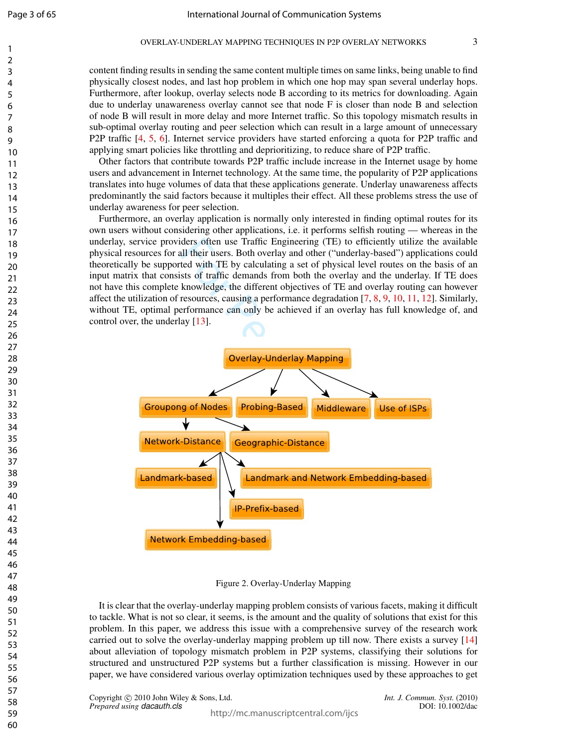$\mathbf{1}$  $\overline{2}$  $\overline{\mathbf{3}}$  $\overline{4}$ 5 6  $\overline{7}$ 8  $\mathsf{Q}$ 

content finding results in sending the same content multiple times on same links, being unable to find physically closest nodes, and last hop problem in which one hop may span several underlay hops. Furthermore, after lookup, overlay selects node B according to its metrics for downloading. Again due to underlay unawareness overlay cannot see that node F is closer than node B and selection of node B will result in more delay and more Internet traffic. So this topology mismatch results in sub-optimal overlay routing and peer selection which can result in a large amount of unnecessary P2P traffic [4, 5, 6]. Internet service providers have started enforcing a quota for P2P traffic and applying smart policies like throttling and deprioritizing, to reduce share of P2P traffic.

Other factors that contribute towards P2P traffic include increase in the Internet usage by home users and advancement in Internet technology. At the same time, the popularity of P2P applications translates into huge volumes of data that these applications generate. Underlay unawareness affects predominantly the said factors because it multiples their effect. All these problems stress the use of underlay awareness for peer selection.

Furthermore, an overlay application is normally only interested in finding optimal routes for its own users without considering other applications, i.e. it performs selfish routing — whereas in the underlay, service providers often use Traffic Engineering (TE) to efficiently utilize the available physical resources for all their users. Both overlay and other ("underlay-based") applications could theoretically be supported with TE by calculating a set of physical level routes on the basis of an input matrix that consists of traffic demands from both the overlay and the underlay. If TE does not have this complete knowledge, the different objectives of TE and overlay routing can however affect the utilization of resources, causing a performance degradation  $[7, 8, 9, 10, 11, 12]$ . Similarly, without TE, optimal performance can only be achieved if an overlay has full knowledge of, and control over, the underlay [13].



Figure 2. Overlay-Underlay Mapping

It is clear that the overlay-underlay mapping problem consists of various facets, making it difficult to tackle. What is not so clear, it seems, is the amount and the quality of solutions that exist for this problem. In this paper, we address this issue with a comprehensive survey of the research work carried out to solve the overlay-underlay mapping problem up till now. There exists a survey [14 ] about alleviation of topology mismatch problem in P2P systems, classifying their solutions for structured and unstructured P2P systems but a further classification is missing. However in our paper, we have considered various overlay optimization techniques used by these approaches to get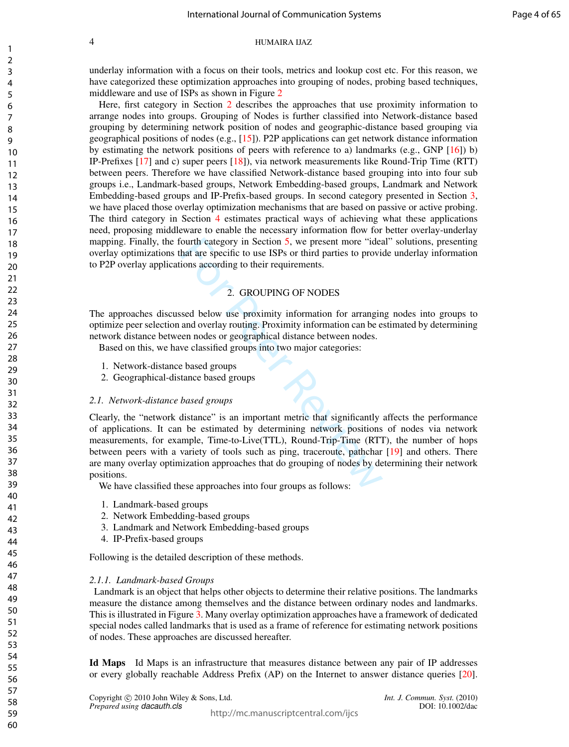underlay information with a focus on their tools, metrics and lookup cost etc. For this reason, we have categorized these optimization approaches into grouping of nodes, probing based techniques, middleware and use of ISPs as shown in Figure 2

Here, first category in Section 2 describes the approaches that use proximity information to arrange nodes into groups. Grouping of Nodes is further classified into Network-distance based grouping by determining network position of nodes and geographic-distance based grouping via geographical positions of nodes (e.g., [15]). P2P applications can get network distance information by estimating the network positions of peers with reference to a) landmarks (e.g., GNP [16]) b) IP-Prefixes [17] and c) super peers [18]), via network measurements like Round-Trip Time (RTT) between peers. Therefore we have classified Network-distance based grouping into into four sub groups i.e., Landmark-based groups, Network Embedding-based groups, Landmark and Network Embedding-based groups and IP-Prefix-based groups. In second category presented in Section 3, we have placed those overlay optimization mechanisms that are based on passive or active probing. The third category in Section 4 estimates practical ways of achieving what these applications need, proposing middleware to enable the necessary information flow for better overlay-underlay mapping. Finally, the fourth category in Section 5, we present more "ideal" solutions, presenting overlay optimizations that are specific to use ISPs or third parties to provide underlay information to P2P overlay applications according to their requirements.

## 2. GROUPING OF NODES

The approaches discussed below use proximity information for arranging nodes into groups to optimize peer selection and overlay routing. Proximity information can be estimated by determining network distance between nodes or geographical distance between nodes.

Based on this, we have classified groups into two major categories:

- 1. Network-distance based groups
- 2. Geographical-distance based groups

## *2.1. Network-distance based groups*

ourth category in Section 5, we present more "idea<br>hat are specific to use ISPs or third parties to provi<br>ions according to their requirements.<br>2. GROUPING OF NODES<br>ssed below use proximity information for arrangir<br>and ove Clearly, the "network distance" is an important metric that significantly affects the performance of applications. It can be estimated by determining network positions of nodes via network measurements, for example, Time-to-Live(TTL), Round-Trip-Time (RTT), the number of hops between peers with a variety of tools such as ping, traceroute, pathchar [19] and others. There are many overlay optimization approaches that do grouping of nodes by determining their network positions.

We have classified these approaches into four groups as follows:

- 1. Landmark-based groups
- 2. Network Embedding-based groups
- 3. Landmark and Network Embedding-based groups
- 4. IP-Prefix-based groups

Following is the detailed description of these methods.

## *2.1.1. Landmark-based Groups*

Landmark is an object that helps other objects to determine their relative positions. The landmarks measure the distance among themselves and the distance between ordinary nodes and landmarks. This is illustrated in Figure 3. Many overlay optimization approaches have a framework of dedicated special nodes called landmarks that is used as a frame of reference for estimating network positions of nodes. These approaches are discussed hereafter.

Id Maps Id Maps is an infrastructure that measures distance between any pair of IP addresses or every globally reachable Address Prefix (AP) on the Internet to answer distance queries [20].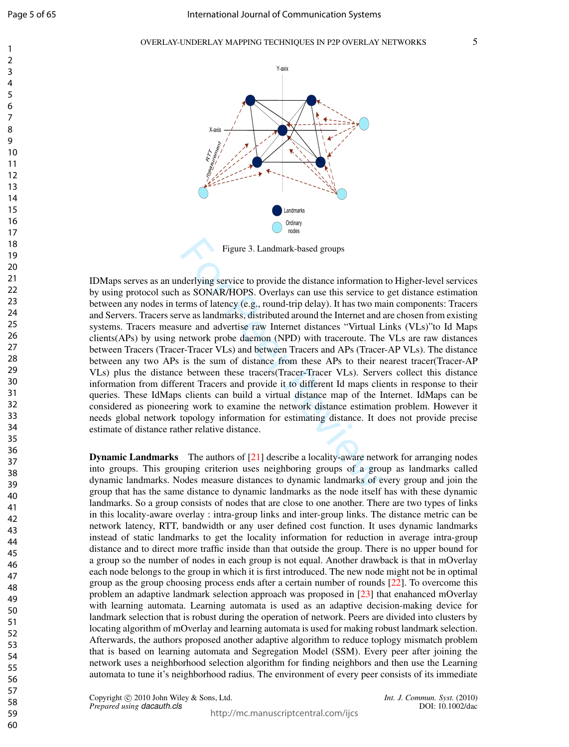$\mathbf{1}$  $\overline{2}$  $\overline{3}$  $\overline{4}$ 5 6  $\overline{7}$ 8  $\mathsf{Q}$ 



Figure 3. Landmark-based groups

Figure 3. Landmark-based groups<br>derlying service to provide the distance information<br>as SONAR/HOPS. Overlays can use this service tc<br>erms of latency (e.g., round-trip delay). It has two m<br>ve as landmarks, distributed aroun IDMaps serves as an underlying service to provide the distance information to Higher-level services by using protocol such as SONAR/HOPS. Overlays can use this service to get distance estimation between any nodes in terms of latency (e.g., round-trip delay). It has two main components: Tracers and Servers. Tracers serve as landmarks, distributed around the Internet and are chosen from existing systems. Tracers measure and advertise raw Internet distances "Virtual Links (VLs)"to Id Maps clients(APs) by using network probe daemon (NPD) with traceroute. The VLs are raw distances between Tracers (Tracer-Tracer VLs) and between Tracers and APs (Tracer-AP VLs). The distance between any two APs is the sum of distance from these APs to their nearest tracer(Tracer-AP VLs) plus the distance between these tracers(Tracer-Tracer VLs). Servers collect this distance information from different Tracers and provide it to different Id maps clients in response to their queries. These IdMaps clients can build a virtual distance map of the Internet. IdMaps can be considered as pioneering work to examine the network distance estimation problem. However it needs global network topology information for estimating distance. It does not provide precise estimate of distance rather relative distance.

**Dynamic Landmarks** The authors of  $[21]$  describe a locality-aware network for arranging nodes into groups. This grouping criterion uses neighboring groups of a group as landmarks called dynamic landmarks. Nodes measure distances to dynamic landmarks of every group and join the group that has the same distance to dynamic landmarks as the node itself has with these dynamic landmarks. So a group consists of nodes that are close to one another. There are two types of links in this locality-aware overlay : intra-group links and inter-group links. The distance metric can be network latency, RTT, bandwidth or any user defined cost function. It uses dynamic landmarks instead of static landmarks to get the locality information for reduction in average intra-group distance and to direct more traffic inside than that outside the group. There is no upper bound for a group so the number of nodes in each group is not equal. Another drawback is that in mOverlay each node belongs to the group in which it is first introduced. The new node might not be in optimal group as the group choosing process ends after a certain number of rounds [22]. To overcome this problem an adaptive landmark selection approach was proposed in [23] that enahanced mOverlay with learning automata. Learning automata is used as an adaptive decision-making device for landmark selection that is robust during the operation of network. Peers are divided into clusters by locating algorithm of mOverlay and learning automata is used for making robust landmark selection. Afterwards, the authors proposed another adaptive algorithm to reduce toplogy mismatch problem that is based on learning automata and Segregation Model (SSM). Every peer after joining the network uses a neighborhood selection algorithm for finding neighbors and then use the Learning automata to tune it's neighborhood radius. The environment of every peer consists of its immediate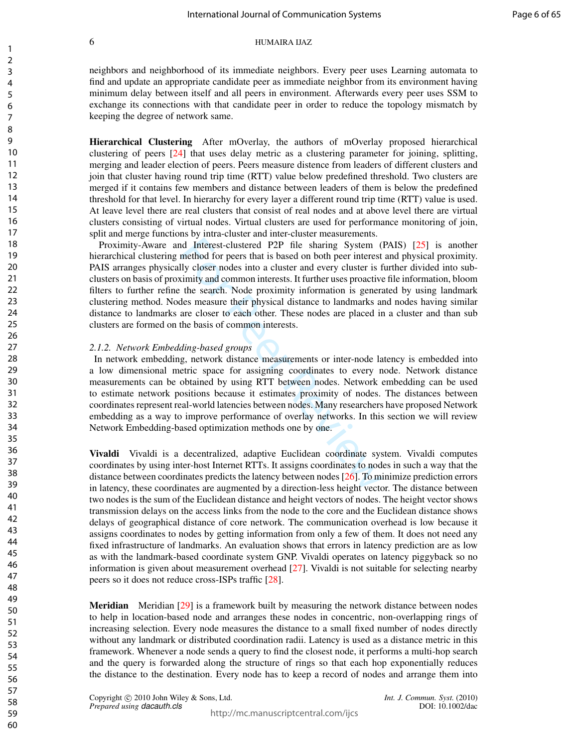neighbors and neighborhood of its immediate neighbors. Every peer uses Learning automata to find and update an appropriate candidate peer as immediate neighbor from its environment having minimum delay between itself and all peers in environment. Afterwards every peer uses SSM to exchange its connections with that candidate peer in order to reduce the topology mismatch by keeping the degree of network same.

Hierarchical Clustering After mOverlay, the authors of mOverlay proposed hierarchical clustering of peers [24] that uses delay metric as a clustering parameter for joining, splitting, merging and leader election of peers. Peers measure distence from leaders of different clusters and join that cluster having round trip time (RTT) value below predefined threshold. Two clusters are merged if it contains few members and distance between leaders of them is below the predefined threshold for that level. In hierarchy for every layer a different round trip time (RTT) value is used. At leave level there are real clusters that consist of real nodes and at above level there are virtual clusters consisting of virtual nodes. Virtual clusters are used for performance monitoring of join, split and merge functions by intra-cluster and inter-cluster measurements.

nd Interest-clustered P2P file sharing System (method for peers that is based on both peer interest<br>Ily closer nodes into a cluster and every cluster is fit simity and common interests. It further uses proactive<br>the search Proximity-Aware and Interest-clustered P2P file sharing System (PAIS) [25] is another hierarchical clustering method for peers that is based on both peer interest and physical proximity. PAIS arranges physically closer nodes into a cluster and every cluster is further divided into subclusters on basis of proximity and common interests. It further uses proactive file information, bloom filters to further refine the search. Node proximity information is generated by using landmark clustering method. Nodes measure their physical distance to landmarks and nodes having similar distance to landmarks are closer to each other. These nodes are placed in a cluster and than sub clusters are formed on the basis of common interests.

## *2.1.2. Network Embedding-based groups*

In network embedding, network distance measurements or inter-node latency is embedded into a low dimensional metric space for assigning coordinates to every node. Network distance measurements can be obtained by using RTT between nodes. Network embedding can be used to estimate network positions because it estimates proximity of nodes. The distances between coordinates represent real-world latencies between nodes. Many researchers have proposed Network embedding as a way to improve performance of overlay networks. In this section we will review Network Embedding-based optimization methods one by one.

Vivaldi Vivaldi is a decentralized, adaptive Euclidean coordinate system. Vivaldi computes coordinates by using inter-host Internet RTTs. It assigns coordinates to nodes in such a way that the distance between coordinates predicts the latency between nodes [26]. To minimize prediction errors in latency, these coordinates are augmented by a direction-less height vector. The distance between two nodes is the sum of the Euclidean distance and height vectors of nodes. The height vector shows transmission delays on the access links from the node to the core and the Euclidean distance shows delays of geographical distance of core network. The communication overhead is low because it assigns coordinates to nodes by getting information from only a few of them. It does not need any fixed infrastructure of landmarks. An evaluation shows that errors in latency prediction are as low as with the landmark-based coordinate system GNP. Vivaldi operates on latency piggyback so no information is given about measurement overhead [27]. Vivaldi is not suitable for selecting nearby peers so it does not reduce cross-ISPs traffic [28].

Meridian Meridian [29] is a framework built by measuring the network distance between nodes to help in location-based node and arranges these nodes in concentric, non-overlapping rings of increasing selection. Every node measures the distance to a small fixed number of nodes directly without any landmark or distributed coordination radii. Latency is used as a distance metric in this framework. Whenever a node sends a query to find the closest node, it performs a multi-hop search and the query is forwarded along the structure of rings so that each hop exponentially reduces the distance to the destination. Every node has to keep a record of nodes and arrange them into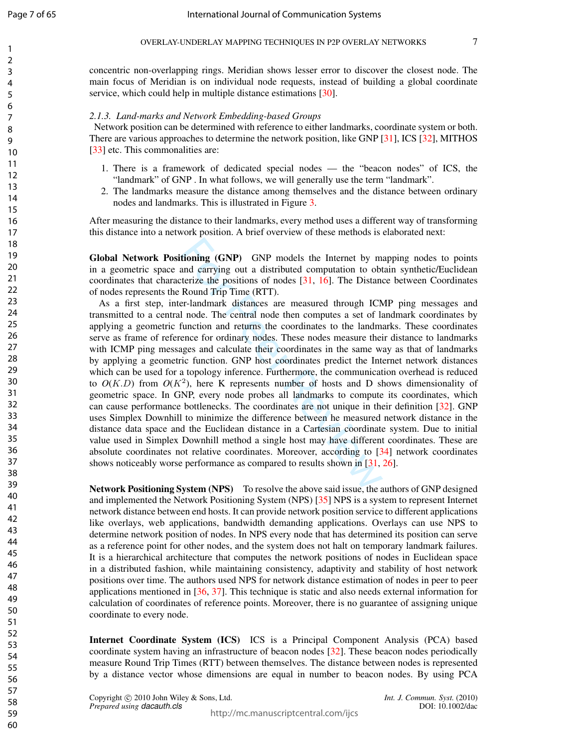$\mathbf{1}$  $\overline{2}$  $\overline{3}$  $\overline{4}$ 5 6  $\overline{7}$ 8  $\mathsf{Q}$ 

concentric non-overlapping rings. Meridian shows lesser error to discover the closest node. The main focus of Meridian is on individual node requests, instead of building a global coordinate service, which could help in multiple distance estimations [30].

## *2.1.3. Land-marks and Network Embedding-based Groups*

Network position can be determined with reference to either landmarks, coordinate system or both. There are various approaches to determine the network position, like GNP [31], ICS [32], MITHOS [33] etc. This commonalities are:

- 1. There is a framework of dedicated special nodes the "beacon nodes" of ICS, the "landmark" of GNP . In what follows, we will generally use the term "landmark".
- 2. The landmarks measure the distance among themselves and the distance between ordinary nodes and landmarks. This is illustrated in Figure 3 .

After measuring the distance to their landmarks, every method uses a different way of transforming this distance into a network position. A brief overview of these methods is elaborated next:

Global Network Positioning (GNP) GNP models the Internet by mapping nodes to points in a geometric space and carrying out a distributed computation to obtain synthetic/Euclidean coordinates that characterize the positions of nodes [31 , 16]. The Distance between Coordinates of nodes represents the Round Trip Time (RTT).

**tioning (GNP)** GNP models the Internet by m<br>and carrying out a distributed computation to obt<br>terize the positions of nodes [31, 16]. The Distan<br>Round Trip Time (RTT).<br>Peer-landmark distances are measured through ICN<br>1 n As a first step, inter-landmark distances are measured through ICMP ping messages and transmitted to a central node. The central node then computes a set of landmark coordinates by applying a geometric function and returns the coordinates to the landmarks. These coordinates serve as frame of reference for ordinary nodes. These nodes measure their distance to landmarks with ICMP ping messages and calculate their coordinates in the same way as that of landmarks by applying a geometric function. GNP host coordinates predict the Internet network distances which can be used for a topology inference. Furthermore, the communication overhead is reduced to  $O(K.D)$  from  $O(K^2)$ , here K represents number of hosts and D shows dimensionality of geometric space. In GNP, every node probes all landmarks to compute its coordinates, which can cause performance bottlenecks. The coordinates are not unique in their definition [32]. GNP uses Simplex Downhill to minimize the difference between he measured network distance in the distance data space and the Euclidean distance in a Cartesian coordinate system. Due to initial value used in Simplex Downhill method a single host may have different coordinates. These are absolute coordinates not relative coordinates. Moreover, according to [34] network coordinates shows noticeably worse performance as compared to results shown in [31, 26].

Network Positioning System (NPS) To resolve the above said issue, the authors of GNP designed and implemented the Network Positioning System (NPS) [35] NPS is a system to represent Internet network distance between end hosts. It can provide network position service to different applications like overlays, web applications, bandwidth demanding applications. Overlays can use NPS to determine network position of nodes. In NPS every node that has determined its position can serve as a reference point for other nodes, and the system does not halt on temporary landmark failures. It is a hierarchical architecture that computes the network positions of nodes in Euclidean space in a distributed fashion, while maintaining consistency, adaptivity and stability of host network positions over time. The authors used NPS for network distance estimation of nodes in peer to peer applications mentioned in [36, 37]. This technique is static and also needs external information for calculation of coordinates of reference points. Moreover, there is no guarantee of assigning unique coordinate to every node.

Internet Coordinate System (ICS) ICS is a Principal Component Analysis (PCA) based coordinate system having an infrastructure of beacon nodes [32]. These beacon nodes periodically measure Round Trip Times (RTT) between themselves. The distance between nodes is represented by a distance vector whose dimensions are equal in number to beacon nodes. By using PCA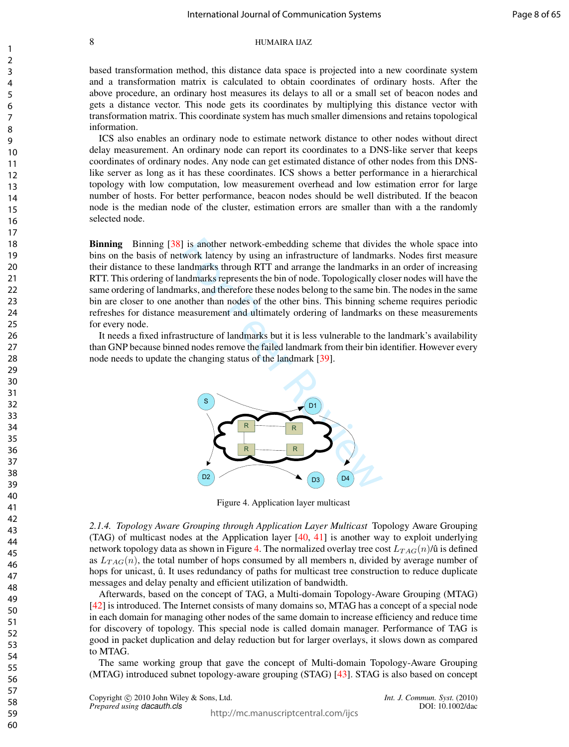based transformation method, this distance data space is projected into a new coordinate system and a transformation matrix is calculated to obtain coordinates of ordinary hosts. After the above procedure, an ordinary host measures its delays to all or a small set of beacon nodes and gets a distance vector. This node gets its coordinates by multiplying this distance vector with transformation matrix. This coordinate system has much smaller dimensions and retains topological information.

ICS also enables an ordinary node to estimate network distance to other nodes without direct delay measurement. An ordinary node can report its coordinates to a DNS-like server that keeps coordinates of ordinary nodes. Any node can get estimated distance of other nodes from this DNSlike server as long as it has these coordinates. ICS shows a better performance in a hierarchical topology with low computation, low measurement overhead and low estimation error for large number of hosts. For better performance, beacon nodes should be well distributed. If the beacon node is the median node of the cluster, estimation errors are smaller than with a the randomly selected node.

Binning Binning [38] is another network-embedding scheme that divides the whole space into bins on the basis of network latency by using an infrastructure of landmarks. Nodes first measure their distance to these landmarks through RTT and arrange the landmarks in an order of increasing RTT. This ordering of landmarks represents the bin of node. Topologically closer nodes will have the same ordering of landmarks, and therefore these nodes belong to the same bin. The nodes in the same bin are closer to one another than nodes of the other bins. This binning scheme requires periodic refreshes for distance measurement and ultimately ordering of landmarks on these measurements for every node.

It needs a fixed infrastructure of landmarks but it is less vulnerable to the landmark's availability than GNP because binned nodes remove the failed landmark from their bin identifier. However every node needs to update the changing status of the landmark [39].



Figure 4. Application layer multicast

*2.1.4. Topology Aware Grouping through Application Layer Multicast* Topology Aware Grouping (TAG) of multicast nodes at the Application layer [40, 41] is another way to exploit underlying network topology data as shown in Figure 4. The normalized overlay tree cost  $L_{TAG}(n)/\hat{u}$  is defined as  $L_{TAG}(n)$ , the total number of hops consumed by all members n, divided by average number of hops for unicast,  $\hat{u}$ . It uses redundancy of paths for multicast tree construction to reduce duplicate messages and delay penalty and efficient utilization of bandwidth.

Afterwards, based on the concept of TAG, a Multi-domain Topology-Aware Grouping (MTAG) [42] is introduced. The Internet consists of many domains so, MTAG has a concept of a special node in each domain for managing other nodes of the same domain to increase efficiency and reduce time for discovery of topology. This special node is called domain manager. Performance of TAG is good in packet duplication and delay reduction but for larger overlays, it slows down as compared to MTAG.

The same working group that gave the concept of Multi-domain Topology-Aware Grouping (MTAG) introduced subnet topology-aware grouping (STAG) [43]. STAG is also based on concept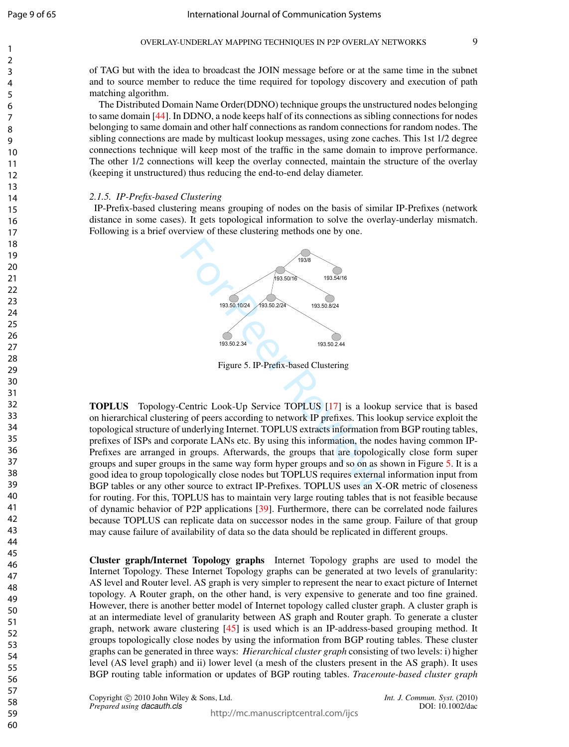$\mathbf{1}$  $\overline{2}$  $\overline{3}$  $\overline{4}$ 5 6  $\overline{7}$ 8  $\mathsf{Q}$ 

of TAG but with the idea to broadcast the JOIN message before or at the same time in the subnet and to source member to reduce the time required for topology discovery and execution of path matching algorithm.

The Distributed Domain Name Order(DDNO) technique groups the unstructured nodes belonging to same domain [44]. In DDNO, a node keeps half of its connections as sibling connections for nodes belonging to same domain and other half connections as random connections for random nodes. The sibling connections are made by multicast lookup messages, using zone caches. This 1st 1/2 degree connections technique will keep most of the traffic in the same domain to improve performance. The other 1/2 connections will keep the overlay connected, maintain the structure of the overlay (keeping it unstructured) thus reducing the end-to-end delay diameter.

## *2.1.5. IP-Prefix-based Clustering*

IP-Prefix-based clustering means grouping of nodes on the basis of similar IP-Prefixes (network distance in some cases). It gets topological information to solve the overlay-underlay mismatch. Following is a brief overview of these clustering methods one by one.



Figure 5. IP-Prefix-based Clustering

For Peer Review 19350.1024<br>
Figure 5. IP-Prefix-based Clustering<br>
Figure 5. IP-Prefix-based Clustering<br>
Centric Look-Up Service TOPLUS [17] is a looking of peers according to network IP prefixes. This local<br>
matelying Inte TOPLUS Topology-Centric Look-Up Service TOPLUS [17] is a lookup service that is based on hierarchical clustering of peers according to network IP prefixes. This lookup service exploit the topological structure of underlying Internet. TOPLUS extracts information from BGP routing tables, prefixes of ISPs and corporate LANs etc. By using this information, the nodes having common IP-Prefixes are arranged in groups. Afterwards, the groups that are topologically close form super groups and super groups in the same way form hyper groups and so on as shown in Figure 5. It is a good idea to group topologically close nodes but TOPLUS requires external information input from BGP tables or any other source to extract IP-Prefixes. TOPLUS uses an X-OR metric of closeness for routing. For this, TOPLUS has to maintain very large routing tables that is not feasible because of dynamic behavior of P2P applications [39]. Furthermore, there can be correlated node failures because TOPLUS can replicate data on successor nodes in the same group. Failure of that group may cause failure of availability of data so the data should be replicated in different groups.

Cluster graph/Internet Topology graphs Internet Topology graphs are used to model the Internet Topology. These Internet Topology graphs can be generated at two levels of granularity: AS level and Router level. AS graph is very simpler to represent the near to exact picture of Internet topology. A Router graph, on the other hand, is very expensive to generate and too fine grained. However, there is another better model of Internet topology called cluster graph. A cluster graph is at an intermediate level of granularity between AS graph and Router graph. To generate a cluster graph, network aware clustering [45] is used which is an IP-address-based grouping method. It groups topologically close nodes by using the information from BGP routing tables. These cluster graphs can be generated in three ways: *Hierarchical cluster graph* consisting of two levels: i) higher level (AS level graph) and ii) lower level (a mesh of the clusters present in the AS graph). It uses BGP routing table information or updates of BGP routing tables. *Traceroute-based cluster graph*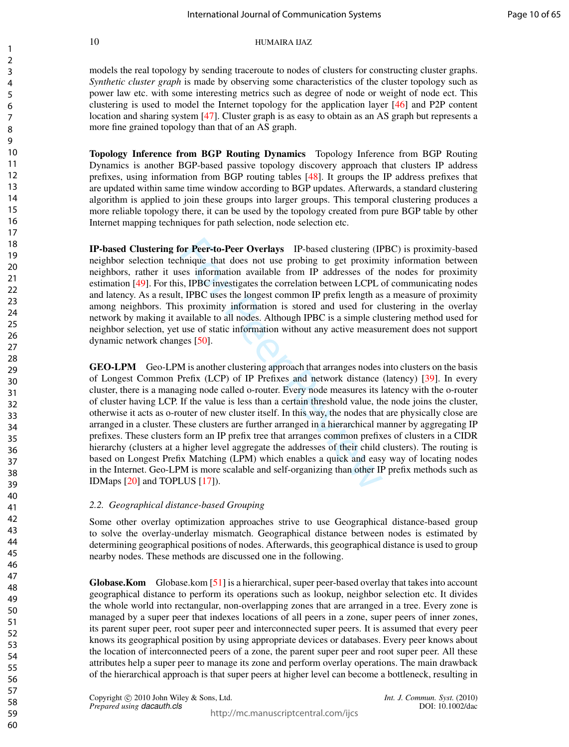models the real topology by sending traceroute to nodes of clusters for constructing cluster graphs. *Synthetic cluster graph* is made by observing some characteristics of the cluster topology such as power law etc. with some interesting metrics such as degree of node or weight of node ect. This clustering is used to model the Internet topology for the application layer [46] and P2P content location and sharing system [47]. Cluster graph is as easy to obtain as an AS graph but represents a more fine grained topology than that of an AS graph.

Topology Inference from BGP Routing Dynamics Topology Inference from BGP Routing Dynamics is another BGP-based passive topology discovery approach that clusters IP address prefixes, using information from BGP routing tables [48]. It groups the IP address prefixes that are updated within same time window according to BGP updates. Afterwards, a standard clustering algorithm is applied to join these groups into larger groups. This temporal clustering produces a more reliable topology there, it can be used by the topology created from pure BGP table by other Internet mapping techniques for path selection, node selection etc.

IP-based Clustering for Peer-to-Peer Overlays IP-based clustering (IPBC) is proximity-based neighbor selection technique that does not use probing to get proximity information between neighbors, rather it uses information available from IP addresses of the nodes for proximity estimation [49]. For this, IPBC investigates the correlation between LCPL of communicating nodes and latency. As a result, IPBC uses the longest common IP prefix length as a measure of proximity among neighbors. This proximity information is stored and used for clustering in the overlay network by making it available to all nodes. Although IPBC is a simple clustering method used for neighbor selection, yet use of static information without any active measurement does not support dynamic network changes [50].

or **Peer-to-Peer Overlays** IP-based clustering (IF<br>hnique that does not use probing to get proximi<br>ses information available from IP addresses of the<br>s, IPBC investigates the correlation between LCPL c,<br>p. IPBC investigate GEO-LPM Geo-LPM is another clustering approach that arranges nodes into clusters on the basis of Longest Common Prefix (LCP) of IP Prefixes and network distance (latency) [39]. In every cluster, there is a managing node called o-router. Every node measures its latency with the o-router of cluster having LCP. If the value is less than a certain threshold value, the node joins the cluster, otherwise it acts as o-router of new cluster itself. In this way, the nodes that are physically close are arranged in a cluster. These clusters are further arranged in a hierarchical manner by aggregating IP prefixes. These clusters form an IP prefix tree that arranges common prefixes of clusters in a CIDR hierarchy (clusters at a higher level aggregate the addresses of their child clusters). The routing is based on Longest Prefix Matching (LPM) which enables a quick and easy way of locating nodes in the Internet. Geo-LPM is more scalable and self-organizing than other IP prefix methods such as IDMaps [20] and TOPLUS [17]).

## *2.2. Geographical distance-based Grouping*

Some other overlay optimization approaches strive to use Geographical distance-based group to solve the overlay-underlay mismatch. Geographical distance between nodes is estimated by determining geographical positions of nodes. Afterwards, this geographical distance is used to group nearby nodes. These methods are discussed one in the following.

Globase.Kom Globase.kom [51] is a hierarchical, super peer-based overlay that takes into account geographical distance to perform its operations such as lookup, neighbor selection etc. It divides the whole world into rectangular, non-overlapping zones that are arranged in a tree. Every zone is managed by a super peer that indexes locations of all peers in a zone, super peers of inner zones, its parent super peer, root super peer and interconnected super peers. It is assumed that every peer knows its geographical position by using appropriate devices or databases. Every peer knows about the location of interconnected peers of a zone, the parent super peer and root super peer. All these attributes help a super peer to manage its zone and perform overlay operations. The main drawback of the hierarchical approach is that super peers at higher level can become a bottleneck, resulting in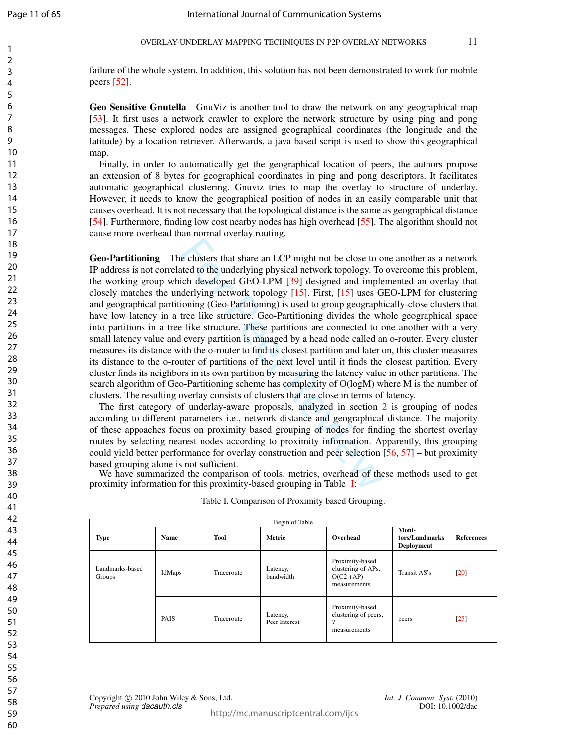$\mathbf{1}$  $\overline{2}$  $\overline{3}$  $\overline{4}$ 5 6  $\overline{7}$ 8  $\mathsf{Q}$ 

failure of the whole system. In addition, this solution has not been demonstrated to work for mobile peers [52].

Geo Sensitive Gnutella GnuViz is another tool to draw the network on any geographical map [53]. It first uses a network crawler to explore the network structure by using ping and pong messages. These explored nodes are assigned geographical coordinates (the longitude and the latitude) by a location retriever. Afterwards, a java based script is used to show this geographical map.

Finally, in order to automatically get the geographical location of peers, the authors propose an extension of 8 bytes for geographical coordinates in ping and pong descriptors. It facilitates automatic geographical clustering. Gnuviz tries to map the overlay to structure of underlay. However, it needs to know the geographical position of nodes in an easily comparable unit that causes overhead. It is not necessary that the topological distance is the same as geographical distance [54]. Furthermore, finding low cost nearby nodes has high overhead [55]. The algorithm should not cause more overhead than normal overlay routing.

is e clusters that share an LCP might not be close to conted to the underlying physical network topology. To ich developed GEO-LPM [39] designed and implederlying network topology [15]. First, [15] uses Gioning (Geo-Partit Geo-Partitioning The clusters that share an LCP might not be close to one another as a network IP address is not correlated to the underlying physical network topology. To overcome this problem, the working group which developed GEO-LPM [39] designed and implemented an overlay that closely matches the underlying network topology [15]. First, [15] uses GEO-LPM for clustering and geographical partitioning (Geo-Partitioning) is used to group geographically-close clusters that have low latency in a tree like structure. Geo-Partitioning divides the whole geographical space into partitions in a tree like structure. These partitions are connected to one another with a very small latency value and every partition is managed by a head node called an o-router. Every cluster measures its distance with the o-router to find its closest partition and later on, this cluster measures its distance to the o-router of partitions of the next level until it finds the closest partition. Every cluster finds its neighbors in its own partition by measuring the latency value in other partitions. The search algorithm of Geo-Partitioning scheme has complexity of O(logM) where M is the number of clusters. The resulting overlay consists of clusters that are close in terms of latency.

The first category of underlay-aware proposals, analyzed in section 2 is grouping of nodes according to different parameters i.e., network distance and geographical distance. The majority of these appoaches focus on proximity based grouping of nodes for finding the shortest overlay routes by selecting nearest nodes according to proximity information. Apparently, this grouping could yield better performance for overlay construction and peer selection [56 , 57] – but proximity based grouping alone is not sufficient.

We have summarized the comparison of tools, metrics, overhead of these methods used to get proximity information for this proximity-based grouping in Table I:

|                           | Begin of Table |             |                           |                                                                       |                                              |                   |  |
|---------------------------|----------------|-------------|---------------------------|-----------------------------------------------------------------------|----------------------------------------------|-------------------|--|
| <b>Type</b>               | <b>Name</b>    | <b>Tool</b> | <b>Metric</b>             | Overhead                                                              | Moni-<br>tors/Landmarks<br><b>Deployment</b> | <b>References</b> |  |
| Landmarks-based<br>Groups | IdMaps         | Traceroute  | Latency,<br>bandwidth     | Proximity-based<br>clustering of APs,<br>$O(C2 + AP)$<br>measurements | Transit AS's                                 | [20]              |  |
|                           | <b>PAIS</b>    | Traceroute  | Latency,<br>Peer Interest | Proximity-based<br>clustering of peers,<br>$\Omega$<br>measurements   | peers                                        | [25]              |  |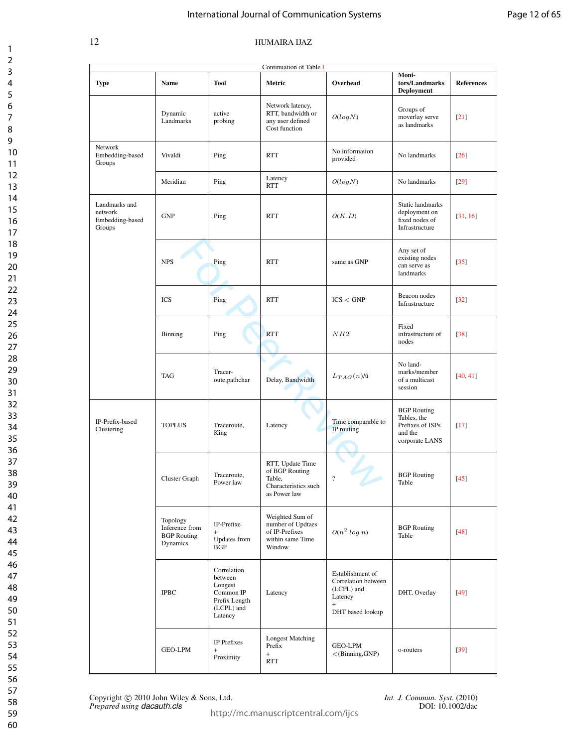## International Journal of Communication Systems

| Page 12 of 65 |  |  |  |
|---------------|--|--|--|
|---------------|--|--|--|

| Continuation of Table I                               |                                                              |                                                                                          |                                                                                      |                                                                                             |                                                                                    |                    |  |
|-------------------------------------------------------|--------------------------------------------------------------|------------------------------------------------------------------------------------------|--------------------------------------------------------------------------------------|---------------------------------------------------------------------------------------------|------------------------------------------------------------------------------------|--------------------|--|
| <b>Type</b>                                           | Name                                                         | <b>Tool</b>                                                                              | Metric                                                                               | Overhead                                                                                    | Moni-<br>tors/Landmarks<br><b>Deployment</b>                                       | <b>References</b>  |  |
|                                                       | Dynamic<br>Landmarks                                         | active<br>probing                                                                        | Network latency,<br>RTT, bandwidth or<br>any user defined<br>Cost function           | O(log N)                                                                                    | Groups of<br>moverlay serve<br>as landmarks                                        | $\lceil 21 \rceil$ |  |
| Network<br>Embedding-based<br>Groups                  | Vivaldi                                                      | Ping                                                                                     | <b>RTT</b>                                                                           | No information<br>provided                                                                  | No landmarks                                                                       | $[26]$             |  |
|                                                       | Meridian                                                     | Ping                                                                                     | Latency<br><b>RTT</b>                                                                | O(log N)                                                                                    | No landmarks                                                                       | $[29]$             |  |
| Landmarks and<br>network<br>Embedding-based<br>Groups | <b>GNP</b>                                                   | Ping                                                                                     | <b>RTT</b>                                                                           | O(K.D)                                                                                      | Static landmarks<br>deployment on<br>fixed nodes of<br>Infrastructure              | [31, 16]           |  |
|                                                       | <b>NPS</b>                                                   | v<br>Ping                                                                                | <b>RTT</b>                                                                           | same as GNP                                                                                 | Any set of<br>existing nodes<br>can serve as<br>landmarks                          | $[35]$             |  |
|                                                       | <b>ICS</b>                                                   | Ping                                                                                     | <b>RTT</b>                                                                           | ICS < GNP                                                                                   | Beacon nodes<br>Infrastructure                                                     | $[32]$             |  |
|                                                       | Binning                                                      | Ping                                                                                     | <b>RTT</b>                                                                           | NH2                                                                                         | Fixed<br>infrastructure of<br>nodes                                                | $[38]$             |  |
|                                                       | <b>TAG</b>                                                   | Tracer-<br>oute, pathchar                                                                | Delay, Bandwidth                                                                     | $L_{TAG}(n)$ /û                                                                             | No land-<br>marks/member<br>of a multicast<br>session                              | [40, 41]           |  |
| IP-Prefix-based<br>Clustering                         | <b>TOPLUS</b>                                                | Traceroute,<br>King                                                                      | Latency                                                                              | Time comparable to<br>IP routing                                                            | <b>BGP</b> Routing<br>Tables, the<br>Prefixes of ISPs<br>and the<br>corporate LANS | $[17]$             |  |
|                                                       | Cluster Graph                                                | Traceroute,<br>Power law                                                                 | RTT, Update Time<br>of BGP Routing<br>Table,<br>Characteristics such<br>as Power law | $\overline{\mathcal{L}}$                                                                    | <b>BGP</b> Routing<br>Table                                                        | $[45]$             |  |
|                                                       | Topology<br>Inference from<br><b>BGP</b> Routing<br>Dynamics | IP-Prefixe<br>$+$<br>Updates from<br><b>BGP</b>                                          | Weighted Sum of<br>number of Updtaes<br>of IP-Prefixes<br>within same Time<br>Window | $O(n^2 log n)$                                                                              | <b>BGP</b> Routing<br>Table                                                        | $[48]$             |  |
|                                                       | <b>IPBC</b>                                                  | Correlation<br>between<br>Longest<br>Common IP<br>Prefix Length<br>(LCPL) and<br>Latency | Latency                                                                              | Establishment of<br>Correlation between<br>(LCPL) and<br>Latency<br>$+$<br>DHT based lookup | DHT, Overlay                                                                       | $[49]$             |  |
|                                                       | GEO-LPM                                                      | IP Prefixes<br>$+$<br>Proximity                                                          | <b>Longest Matching</b><br>Prefix<br>$+$<br><b>RTT</b>                               | GEO-LPM<br>$<$ (Binning, GNP)                                                               | o-routers                                                                          | $[39]$             |  |

Copyright © 2010 John Wiley & Sons, Ltd. *Int. J. Commun. Syst.* (2010)<br>*Prepared using dacauth.cls* DOI: 10.1002/dac *Prepared using dacauth.cls* 

http://mc.manuscriptcentral.com/ijcs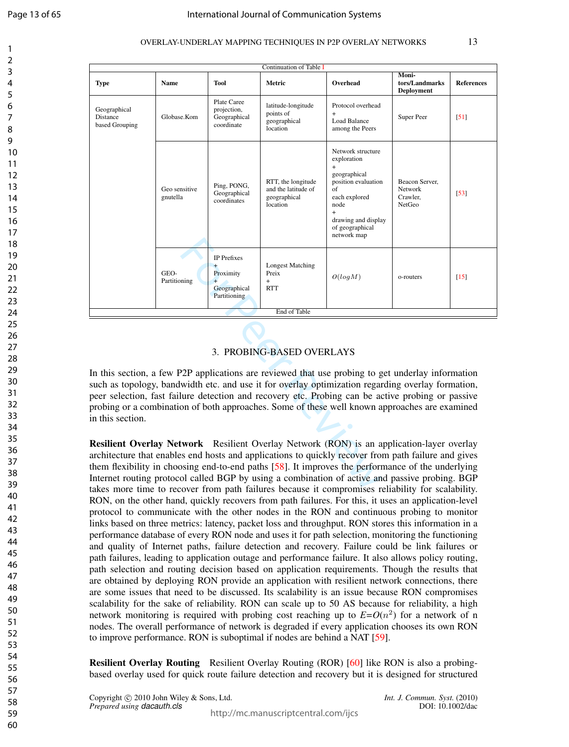$\mathbf{1}$  $\overline{2}$  $\overline{3}$  $\overline{4}$ 5 6  $\overline{7}$ 8  $\mathsf{Q}$ 

## OVERLAY-UNDERLAY MAPPING TECHNIQUES IN P2P OVERLAY NETWORKS 13

| Continuation of Table I                                                                                                                                                                                                                                                                                                                                                                                                          |                           |                                                                       |                                                                       |                                                                                                                                                                                                                                                                                                                                                                                                         |                                                     |                   |  |
|----------------------------------------------------------------------------------------------------------------------------------------------------------------------------------------------------------------------------------------------------------------------------------------------------------------------------------------------------------------------------------------------------------------------------------|---------------------------|-----------------------------------------------------------------------|-----------------------------------------------------------------------|---------------------------------------------------------------------------------------------------------------------------------------------------------------------------------------------------------------------------------------------------------------------------------------------------------------------------------------------------------------------------------------------------------|-----------------------------------------------------|-------------------|--|
| <b>Type</b>                                                                                                                                                                                                                                                                                                                                                                                                                      | Name                      | Tool                                                                  | Metric                                                                | Overhead                                                                                                                                                                                                                                                                                                                                                                                                | <b>Moni-</b><br>tors/Landmarks<br><b>Deployment</b> | <b>References</b> |  |
| Geographical<br>Distance<br>based Grouping                                                                                                                                                                                                                                                                                                                                                                                       | Globase.Kom               | Plate Caree<br>projection,<br>Geographical<br>coordinate              | latitude-longitude<br>points of<br>geographical<br>location           | Protocol overhead<br>$+$<br><b>Load Balance</b><br>among the Peers                                                                                                                                                                                                                                                                                                                                      | Super Peer                                          | [51]              |  |
|                                                                                                                                                                                                                                                                                                                                                                                                                                  | Geo sensitive<br>gnutella | Ping, PONG,<br>Geographical<br>coordinates                            | RTT, the longitude<br>and the latitude of<br>geographical<br>location | Network structure<br>exploration<br>$+$<br>geographical<br>position evaluation<br>of<br>each explored<br>node<br>$+$<br>drawing and display<br>of geographical<br>network map                                                                                                                                                                                                                           | Beacon Server,<br>Network<br>Crawler,<br>NetGeo     | $[53]$            |  |
|                                                                                                                                                                                                                                                                                                                                                                                                                                  | GEO-<br>Partitioning      | IP Prefixes<br>$\ddot{}$<br>Proximity<br>Geographical<br>Partitioning | <b>Longest Matching</b><br>Preix<br>$^{+}$<br><b>RTT</b>              | O(logM)                                                                                                                                                                                                                                                                                                                                                                                                 | o-routers                                           | [15]              |  |
|                                                                                                                                                                                                                                                                                                                                                                                                                                  |                           |                                                                       | End of Table                                                          |                                                                                                                                                                                                                                                                                                                                                                                                         |                                                     |                   |  |
| 3. PROBING-BASED OVERLAYS                                                                                                                                                                                                                                                                                                                                                                                                        |                           |                                                                       |                                                                       |                                                                                                                                                                                                                                                                                                                                                                                                         |                                                     |                   |  |
| In this section, a few P2P applications are reviewed that use probing to get underlay information<br>such as topology, bandwidth etc. and use it for overlay optimization regarding overlay formation,<br>peer selection, fast failure detection and recovery etc. Probing can be active probing or passive<br>probing or a combination of both approaches. Some of these well known approaches are examined<br>in this section. |                           |                                                                       |                                                                       |                                                                                                                                                                                                                                                                                                                                                                                                         |                                                     |                   |  |
| takes more time to recover from path failures because it compromises reliability for scalability.                                                                                                                                                                                                                                                                                                                                |                           |                                                                       |                                                                       | Resilient Overlay Network Resilient Overlay Network (RON) is an application-layer overlay<br>architecture that enables end hosts and applications to quickly recover from path failure and gives<br>them flexibility in choosing end-to-end paths [58]. It improves the performance of the underlying<br>Internet routing protocol called BGP by using a combination of active and passive probing. BGP |                                                     |                   |  |

## 3. PROBING-BASED OVERLAYS

Resilient Overlay Network Resilient Overlay Network (RON) is an application-layer overlay architecture that enables end hosts and applications to quickly recover from path failure and gives them flexibility in choosing end-to-end paths [58]. It improves the performance of the underlying Internet routing protocol called BGP by using a combination of active and passive probing. BGP takes more time to recover from path failures because it compromises reliability for scalability. RON, on the other hand, quickly recovers from path failures. For this, it uses an application-level protocol to communicate with the other nodes in the RON and continuous probing to monitor links based on three metrics: latency, packet loss and throughput. RON stores this information in a performance database of every RON node and uses it for path selection, monitoring the functioning and quality of Internet paths, failure detection and recovery. Failure could be link failures or path failures, leading to application outage and performance failure. It also allows policy routing, path selection and routing decision based on application requirements. Though the results that are obtained by deploying RON provide an application with resilient network connections, there are some issues that need to be discussed. Its scalability is an issue because RON compromises scalability for the sake of reliability. RON can scale up to 50 AS because for reliability, a high network monitoring is required with probing cost reaching up to  $E = O(n^2)$  for a network of n nodes. The overall performance of network is degraded if every application chooses its own RON to improve performance. RON is suboptimal if nodes are behind a NAT [59].

Resilient Overlay Routing Resilient Overlay Routing (ROR) [60] like RON is also a probingbased overlay used for quick route failure detection and recovery but it is designed for structured

Copyright  $\odot$  2010 John Wiley & Sons, Ltd. *Int. J. Commun. Syst.* (2010) *Prepared using dacauth.cls* DOI: 10.1002/dac

http://mc.manuscriptcentral.com/ijcs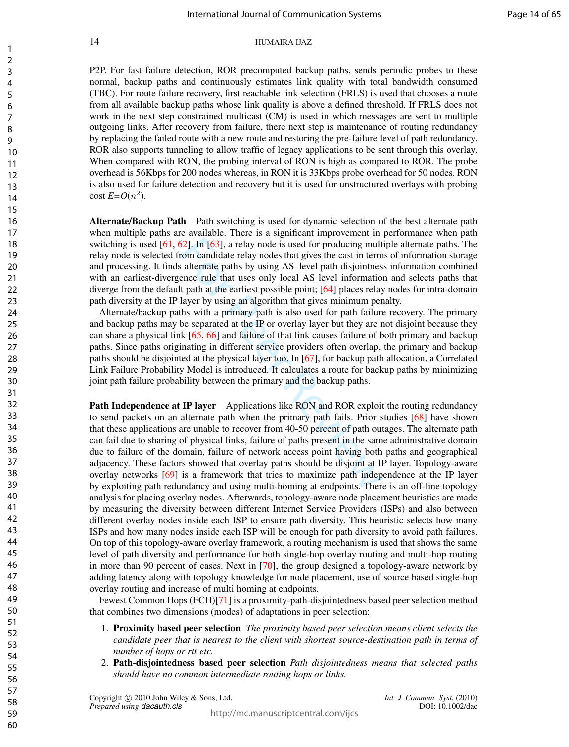P2P. For fast failure detection, ROR precomputed backup paths, sends periodic probes to these normal, backup paths and continuously estimates link quality with total bandwidth consumed (TBC). For route failure recovery, first reachable link selection (FRLS) is used that chooses a route from all available backup paths whose link quality is above a defined threshold. If FRLS does not work in the next step constrained multicast (CM) is used in which messages are sent to multiple outgoing links. After recovery from failure, there next step is maintenance of routing redundancy by replacing the failed route with a new route and restoring the pre-failure level of path redundancy. ROR also supports tunneling to allow traffic of legacy applications to be sent through this overlay. When compared with RON, the probing interval of RON is high as compared to ROR. The probe overhead is 56Kbps for 200 nodes whereas, in RON it is 33Kbps probe overhead for 50 nodes. RON is also used for failure detection and recovery but it is used for unstructured overlays with probing  $\cosh E = O(n^2)$ .

Alternate/Backup Path Path switching is used for dynamic selection of the best alternate path when multiple paths are available. There is a significant improvement in performance when path switching is used [61, 62]. In [63], a relay node is used for producing multiple alternate paths. The relay node is selected from candidate relay nodes that gives the cast in terms of information storage and processing. It finds alternate paths by using AS–level path disjointness information combined with an earliest-divergence rule that uses only local AS level information and selects paths that diverge from the default path at the earliest possible point; [64] places relay nodes for intra-domain path diversity at the IP layer by using an algorithm that gives minimum penalty.

Alternate/backup paths with a primary path is also used for path failure recovery. The primary and backup paths may be separated at the IP or overlay layer but they are not disjoint because they can share a physical link [65, 66] and failure of that link causes failure of both primary and backup paths. Since paths originating in different service providers often overlap, the primary and backup paths should be disjointed at the physical layer too. In [67], for backup path allocation, a Correlated Link Failure Probability Model is introduced. It calculates a route for backup paths by minimizing joint path failure probability between the primary and the backup paths.

52]. In [63], a relay node is used for producing mult<br>com candidate relay node is used for producing mult<br>com candidate relay nodes that gives the cast in term<br>a laternate paths by using AS-level path disjointnes<br>ence rul Path Independence at IP layer Applications like RON and ROR exploit the routing redundancy to send packets on an alternate path when the primary path fails. Prior studies [68] have shown that these applications are unable to recover from 40-50 percent of path outages. The alternate path can fail due to sharing of physical links, failure of paths present in the same administrative domain due to failure of the domain, failure of network access point having both paths and geographical adjacency. These factors showed that overlay paths should be disjoint at IP layer. Topology-aware overlay networks [69] is a framework that tries to maximize path independence at the IP layer by exploiting path redundancy and using multi-homing at endpoints. There is an off-line topology analysis for placing overlay nodes. Afterwards, topology-aware node placement heuristics are made by measuring the diversity between different Internet Service Providers (ISPs) and also between different overlay nodes inside each ISP to ensure path diversity. This heuristic selects how many ISPs and how many nodes inside each ISP will be enough for path diversity to avoid path failures. On top of this topology-aware overlay framework, a routing mechanism is used that shows the same level of path diversity and performance for both single-hop overlay routing and multi-hop routing in more than 90 percent of cases. Next in [70], the group designed a topology-aware network by adding latency along with topology knowledge for node placement, use of source based single-hop overlay routing and increase of multi homing at endpoints.

Fewest Common Hops (FCH)[71] is a proximity-path-disjointedness based peer selection method that combines two dimensions (modes) of adaptations in peer selection:

- 1. Proximity based peer selection *The proximity based peer selection means client selects the candidate peer that is nearest to the client with shortest source-destination path in terms of number of hops or rtt etc.*
- 2. Path-disjointedness based peer selection *Path disjointedness means that selected paths should have no common intermediate routing hops or links.*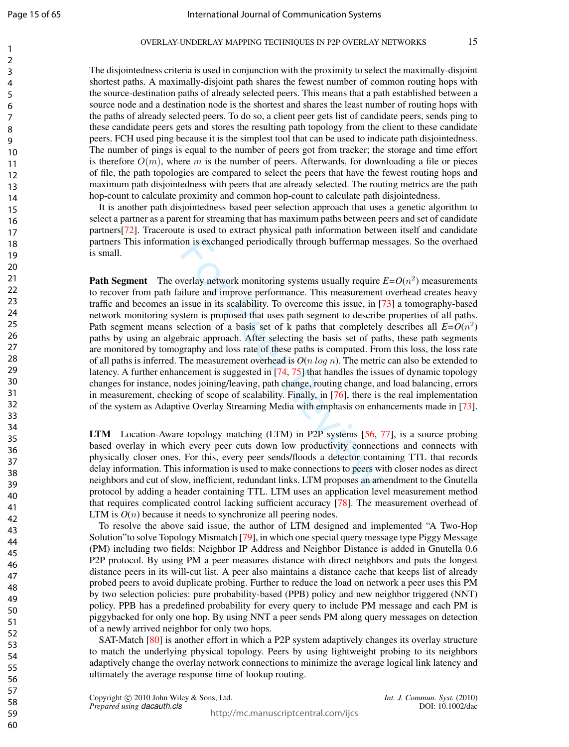$\mathbf{1}$  $\overline{2}$ 3  $\overline{4}$ 5 6  $\overline{7}$ 8  $\mathsf{Q}$ 

The disjointedness criteria is used in conjunction with the proximity to select the maximally-disjoint shortest paths. A maximally-disjoint path shares the fewest number of common routing hops with the source-destination paths of already selected peers. This means that a path established between a source node and a destination node is the shortest and shares the least number of routing hops with the paths of already selected peers. To do so, a client peer gets list of candidate peers, sends ping to these candidate peers gets and stores the resulting path topology from the client to these candidate peers. FCH used ping because it is the simplest tool that can be used to indicate path disjointedness. The number of pings is equal to the number of peers got from tracker; the storage and time effort is therefore  $O(m)$ , where m is the number of peers. Afterwards, for downloading a file or pieces of file, the path topologies are compared to select the peers that have the fewest routing hops and maximum path disjointedness with peers that are already selected. The routing metrics are the path hop-count to calculate proximity and common hop-count to calculate path disjointedness.

It is another path disjointedness based peer selection approach that uses a genetic algorithm to select a partner as a parent for streaming that has maximum paths between peers and set of candidate partners[72]. Traceroute is used to extract physical path information between itself and candidate partners This information is exchanged periodically through buffermap messages. So the overhaed is small.

on is exchanged periodically through buffermap me<br>verlay network monitoring systems usually require<br>ulure and improve performance. This measurement<br>issue in its scalability. To overcome this issue, in [<br>stem is proposed t **Path Segment** The overlay network monitoring systems usually require  $E = O(n^2)$  measurements to recover from path failure and improve performance. This measurement overhead creates heavy traffic and becomes an issue in its scalability. To overcome this issue, in [73] a tomography-based network monitoring system is proposed that uses path segment to describe properties of all paths. Path segment means selection of a basis set of k paths that completely describes all  $E=O(n^2)$ paths by using an algebraic approach. After selecting the basis set of paths, these path segments are monitored by tomography and loss rate of these paths is computed. From this loss, the loss rate of all paths is inferred. The measurement overhead is *O* (*n log n*). The metric can also be extended to latency. A further enhancement is suggested in [74, 75] that handles the issues of dynamic topology changes for instance, nodes joining/leaving, path change, routing change, and load balancing, errors in measurement, checking of scope of scalability. Finally, in [76], there is the real implementation of the system as Adaptive Overlay Streaming Media with emphasis on enhancements made in [73].

**LTM** Location-Aware topology matching (LTM) in P2P systems [56, 77], is a source probing based overlay in which every peer cuts down low productivity connections and connects with physically closer ones. For this, every peer sends/floods a detector containing TTL that records delay information. This information is used to make connections to peers with closer nodes as direct neighbors and cut of slow, inefficient, redundant links. LTM proposes an amendment to the Gnutella protocol by adding a header containing TTL. LTM uses an application level measurement method that requires complicated control lacking sufficient accuracy [78]. The measurement overhead of LTM is  $O(n)$  because it needs to synchronize all peering nodes.

To resolve the above said issue, the author of LTM designed and implemented "A Two-Hop Solution"to solve Topology Mismatch [79], in which one special query message type Piggy Message (PM) including two fields: Neighbor IP Address and Neighbor Distance is added in Gnutella 0.6 P2P protocol. By using PM a peer measures distance with direct neighbors and puts the longest distance peers in its will-cut list. A peer also maintains a distance cache that keeps list of already probed peers to avoid duplicate probing. Further to reduce the load on network a peer uses this PM by two selection policies: pure probability-based (PPB) policy and new neighbor triggered (NNT) policy. PPB has a predefined probability for every query to include PM message and each PM is piggybacked for only one hop. By using NNT a peer sends PM along query messages on detection of a newly arrived neighbor for only two hops.

SAT-Match [80] is another effort in which a P2P system adaptively changes its overlay structure to match the underlying physical topology. Peers by using lightweight probing to its neighbors adaptively change the overlay network connections to minimize the average logical link latency and ultimately the average response time of lookup routing.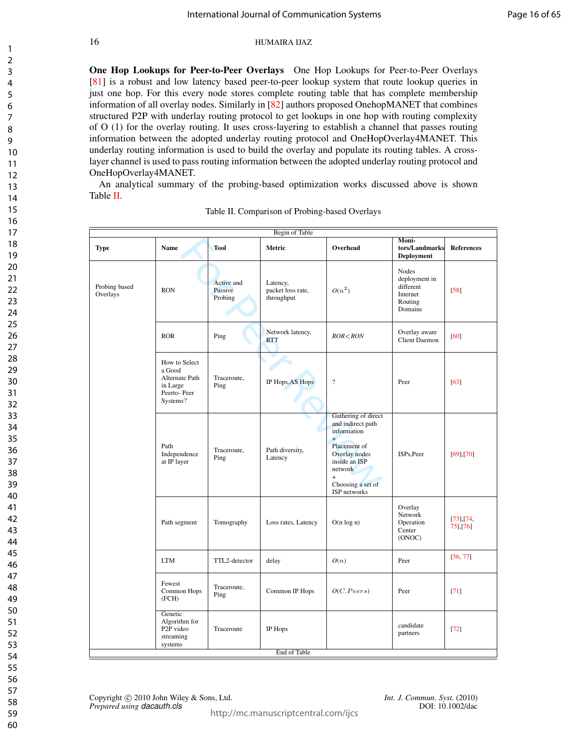One Hop Lookups for Peer-to-Peer Overlays One Hop Lookups for Peer-to-Peer Overlays [81] is a robust and low latency based peer-to-peer lookup system that route lookup queries in just one hop. For this every node stores complete routing table that has complete membership information of all overlay nodes. Similarly in [82] authors proposed OnehopMANET that combines structured P2P with underlay routing protocol to get lookups in one hop with routing complexity of O (1) for the overlay routing. It uses cross-layering to establish a channel that passes routing information between the adopted underlay routing protocol and OneHopOverlay4MANET. This underlay routing information is used to build the overlay and populate its routing tables. A crosslayer channel is used to pass routing information between the adopted underlay routing protocol and OneHopOverlay4MANET.

An analytical summary of the probing-based optimization works discussed above is shown Table II.

|                           |                                                                                  |                                  | Begin of Table                              |                                                                                                                                                                         | Moni-                                                                 |                              |
|---------------------------|----------------------------------------------------------------------------------|----------------------------------|---------------------------------------------|-------------------------------------------------------------------------------------------------------------------------------------------------------------------------|-----------------------------------------------------------------------|------------------------------|
| Type                      | <b>Name</b>                                                                      | <b>Tool</b>                      | Metric                                      | Overhead                                                                                                                                                                | tors/Landmarks<br>Deployment                                          | <b>References</b>            |
| Probing based<br>Overlays | <b>RON</b>                                                                       | Active and<br>Passive<br>Probing | Latency,<br>packet loss rate,<br>throughput | $O(n^2)$                                                                                                                                                                | Nodes<br>deployment in<br>different<br>Internet<br>Routing<br>Domains | $[58]$                       |
|                           | <b>ROR</b>                                                                       | Ping                             | Network latency,<br><b>RTT</b>              | $ROR <$ $RON$                                                                                                                                                           | Overlay aware<br><b>Client Daemon</b>                                 | $[60]$                       |
|                           | How to Select<br>a Good<br>Alternate Path<br>in Large<br>Peerto-Peer<br>Systems? | Traceroute,<br>Ping              | IP Hops, AS Hops                            | $\overline{?}$                                                                                                                                                          | Peer                                                                  | [63]                         |
|                           | Path<br>Independence<br>at IP layer                                              | Traceroute,<br>Ping              | Path diversity,<br>Latency                  | Gathering of direct<br>and indirect path<br>information<br>$+$<br>Placement of<br>Overlay nodes<br>inside an ISP<br>network<br>$+$<br>Choosing a set of<br>ISP networks | ISPs, Peer                                                            | $[69]$ , [70]                |
|                           | Path segment                                                                     | Tomography                       | Loss rates, Latency                         | $O(n \log n)$                                                                                                                                                           | Overlay<br>Network<br>Operation<br>Center<br>(ONOC)                   | $[73]$ , $[74]$<br>75], [76] |
|                           | <b>LTM</b>                                                                       | TTL2-detector                    | delay                                       | O(n)                                                                                                                                                                    | Peer                                                                  | [56, 77]                     |
|                           | Fewest<br>Common Hops<br>(FCH)                                                   | Traceroute,<br>Ping              | Common IP Hops                              | O(C.Peers)                                                                                                                                                              | Peer                                                                  | [71]                         |
|                           | Genetic<br>Algorithm for<br>P <sub>2P</sub> video<br>streaming<br>systems        | Traceroute                       | IP Hops                                     |                                                                                                                                                                         | candidate<br>partners                                                 | $[72]$                       |
|                           |                                                                                  |                                  | End of Table                                |                                                                                                                                                                         |                                                                       |                              |

|  |  | Table II. Comparison of Probing-based Overlays |  |
|--|--|------------------------------------------------|--|
|--|--|------------------------------------------------|--|

Copyright © 2010 John Wiley & Sons, Ltd. *Int. J. Commun. Syst.* (2010)<br>*Prepared using dacauth.cls* DOI: 10.1002/dac *Prepared using dacauth.cls*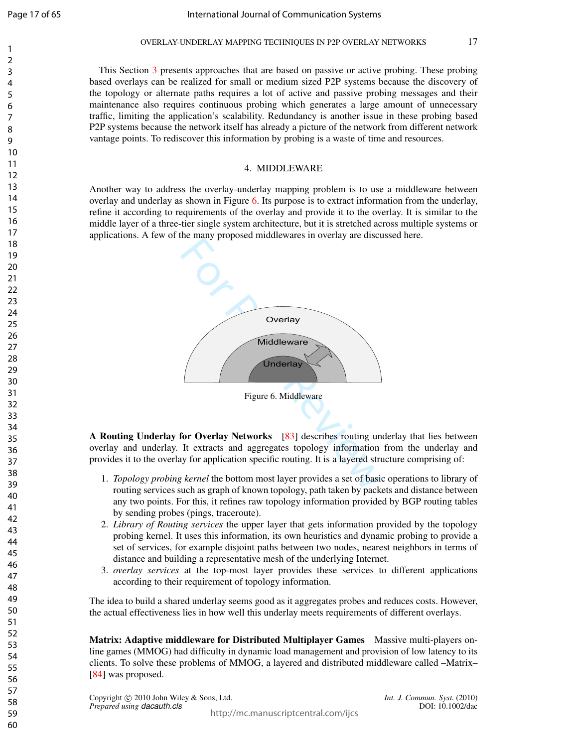$\mathbf{1}$  $\overline{2}$  $\overline{3}$  $\overline{4}$ 5 6  $\overline{7}$ 8  $\mathsf{Q}$ 

This Section 3 presents approaches that are based on passive or active probing. These probing based overlays can be realized for small or medium sized P2P systems because the discovery of the topology or alternate paths requires a lot of active and passive probing messages and their maintenance also requires continuous probing which generates a large amount of unnecessary traffic, limiting the application's scalability. Redundancy is another issue in these probing based P2P systems because the network itself has already a picture of the network from different network vantage points. To rediscover this information by probing is a waste of time and resources.

## 4. MIDDLEWARE

Another way to address the overlay-underlay mapping problem is to use a middleware between overlay and underlay as shown in Figure 6. Its purpose is to extract information from the underlay, refine it according to requirements of the overlay and provide it to the overlay. It is similar to the middle layer of a three-tier single system architecture, but it is stretched across multiple systems or applications. A few of the many proposed middlewares in overlay are discussed here.





A Routing Underlay for Overlay Networks [83] describes routing underlay that lies between overlay and underlay. It extracts and aggregates topology information from the underlay and provides it to the overlay for application specific routing. It is a layered structure comprising of:

- 1. *Topology probing kernel* the bottom most layer provides a set of basic operations to library of routing services such as graph of known topology, path taken by packets and distance between any two points. For this, it refines raw topology information provided by BGP routing tables by sending probes (pings, traceroute).
- 2. *Library of Routing services* the upper layer that gets information provided by the topology probing kernel. It uses this information, its own heuristics and dynamic probing to provide a set of services, for example disjoint paths between two nodes, nearest neighbors in terms of distance and building a representative mesh of the underlying Internet.
- 3. *overlay services* at the top-most layer provides these services to different applications according to their requirement of topology information.

The idea to build a shared underlay seems good as it aggregates probes and reduces costs. However, the actual effectiveness lies in how well this underlay meets requirements of different overlays.

Matrix: Adaptive middleware for Distributed Multiplayer Games Massive multi-players online games (MMOG) had difficulty in dynamic load management and provision of low latency to its clients. To solve these problems of MMOG, a layered and distributed middleware called –Matrix– [84] was proposed.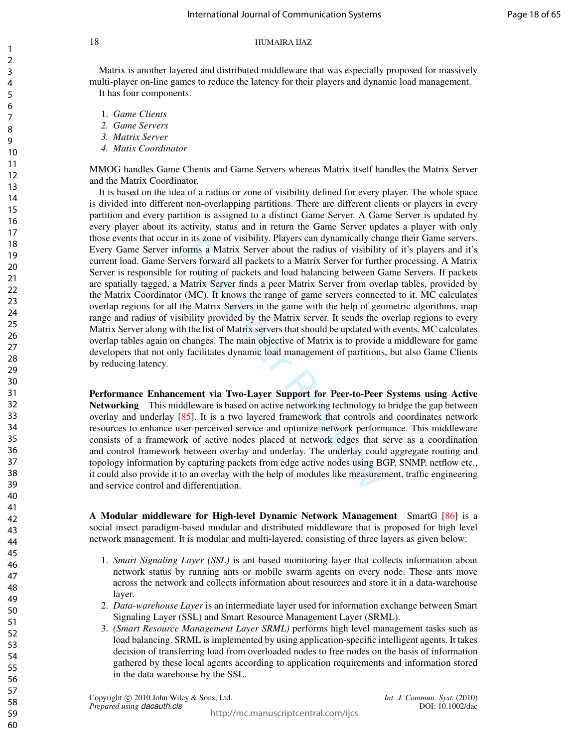Matrix is another layered and distributed middleware that was especially proposed for massively multi-player on-line games to reduce the latency for their players and dynamic load management. It has four components.

- 1. *Game Clients*
- *2. Game Servers*
- *3. Matrix Server*
- *4. Matix Coordinator*

MMOG handles Game Clients and Game Servers whereas Matrix itself handles the Matrix Server and the Matrix Coordinator.

In its zone of visiomity. Prayers can dynamically charactery forms a Matrix Server about the radius of visibility vers forward all packets to a Matrix Server for furth or proving of packets and load balancing between C Mat It is based on the idea of a radius or zone of visibility defined for every player. The whole space is divided into different non-overlapping partitions. There are different clients or players in every partition and every partition is assigned to a distinct Game Server. A Game Server is updated by every player about its activity, status and in return the Game Server updates a player with only those events that occur in its zone of visibility. Players can dynamically change their Game servers. Every Game Server informs a Matrix Server about the radius of visibility of it's players and it's current load. Game Servers forward all packets to a Matrix Server for further processing. A Matrix Server is responsible for routing of packets and load balancing between Game Servers. If packets are spatially tagged, a Matrix Server finds a peer Matrix Server from overlap tables, provided by the Matrix Coordinator (MC). It knows the range of game servers connected to it. MC calculates overlap regions for all the Matrix Servers in the game with the help of geometric algorithms, map range and radius of visibility provided by the Matrix server. It sends the overlap regions to every Matrix Server along with the list of Matrix servers that should be updated with events. MC calculates overlap tables again on changes. The main objective of Matrix is to provide a middleware for game developers that not only facilitates dynamic load management of partitions, but also Game Clients by reducing latency.

Performance Enhancement via Two-Layer Support for Peer-to-Peer Systems using Active Networking This middleware is based on active networking technology to bridge the gap between overlay and underlay [85]. It is a two layered framework that controls and coordinates network resources to enhance user-perceived service and optimize network performance. This middleware consists of a framework of active nodes placed at network edges that serve as a coordination and control framework between overlay and underlay. The underlay could aggregate routing and topology information by capturing packets from edge active nodes using BGP, SNMP, netflow etc., it could also provide it to an overlay with the help of modules like measurement, traffic engineering and service control and differentiation.

A Modular middleware for High-level Dynamic Network Management SmartG [86] is a social insect paradigm-based modular and distributed middleware that is proposed for high level network management. It is modular and multi-layered, consisting of three layers as given below:

- 1. *Smart Signaling Layer (SSL)* is ant-based monitoring layer that collects information about network status by running ants or mobile swarm agents on every node. These ants move across the network and collects information about resources and store it in a data-warehouse layer.
- 2. *Data-warehouse Layer* is an intermediate layer used for information exchange between Smart Signaling Layer (SSL) and Smart Resource Management Layer (SRML).
- 3. *(Smart Resource Management Layer SRML)* performs high level management tasks such as load balancing. SRML is implemented by using application-specific intelligent agents. It takes decision of transferring load from overloaded nodes to free nodes on the basis of information gathered by these local agents according to application requirements and information stored in the data warehouse by the SSL.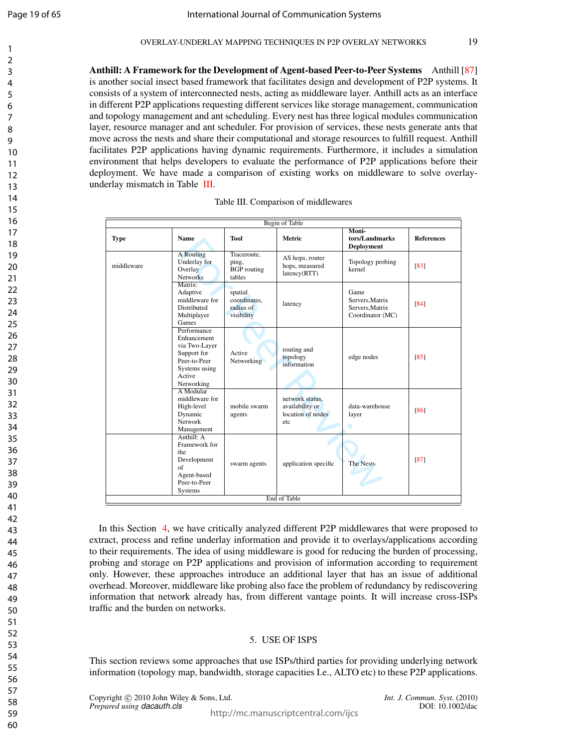$\mathbf{1}$  $\overline{2}$  $\overline{3}$  $\overline{4}$ 5 6  $\overline{7}$ 8  $\mathsf{Q}$ 

Anthill: A Framework for the Development of Agent-based Peer-to-Peer Systems Anthill [87 ] is another social insect based framework that facilitates design and development of P2P systems. It consists of a system of interconnected nests, acting as middleware layer. Anthill acts as an interface in different P2P applications requesting different services like storage management, communication and topology management and ant scheduling. Every nest has three logical modules communication layer, resource manager and ant scheduler. For provision of services, these nests generate ants that move across the nests and share their computational and storage resources to fulfill request. Anthill facilitates P2P applications having dynamic requirements. Furthermore, it includes a simulation environment that helps developers to evaluate the performance of P2P applications before their deployment. We have made a comparison of existing works on middleware to solve overlayunderlay mismatch in Table III.

|             |                                                                                                                     |                                                      | <b>Begin of Table</b>                                          |                                                                |                   |
|-------------|---------------------------------------------------------------------------------------------------------------------|------------------------------------------------------|----------------------------------------------------------------|----------------------------------------------------------------|-------------------|
| <b>Type</b> | <b>Name</b>                                                                                                         | <b>Tool</b>                                          | <b>Metric</b>                                                  | Moni-<br>tors/Landmarks<br><b>Deployment</b>                   | <b>References</b> |
| middleware  | <b>A</b> Routing<br>Underlay for<br>Overlay<br><b>Networks</b>                                                      | Traceroute,<br>ping,<br><b>BGP</b> routing<br>tables | AS hops, router<br>hops, measured<br>latency(RTT)              | Topology probing<br>kernel                                     | [83]              |
|             | Matrix:<br>Adaptive<br>middleware for<br><b>Distributed</b><br>Multiplayer<br>Games                                 | spatial<br>coordinates.<br>radius of<br>visibility   | latency                                                        | Game<br>Servers. Matrix<br>Servers. Matrix<br>Coordinator (MC) | [84]              |
|             | Performance<br>Enhancement<br>via Two-Layer<br>Support for<br>Peer-to-Peer<br>Systems using<br>Active<br>Networking | Active<br>Networking                                 | routing and<br>topology<br>information                         | edge nodes                                                     | [85]              |
|             | A Modular<br>middleware for<br>High-level<br>Dynamic<br>Network<br>Management                                       | mobile swarm<br>agents                               | network status.<br>availability or<br>location of nodes<br>etc | data-warehouse<br>layer<br>o                                   | [86]              |
|             | Anthill: A<br>Framework for<br>the<br>Development<br>of<br>Agent-based<br>Peer-to-Peer<br>Systems                   | swarm agents                                         | application specific                                           | <b>The Nests</b>                                               | [87]              |
|             |                                                                                                                     |                                                      | End of Table                                                   |                                                                |                   |

|  |  |  |  |  |  | Table III. Comparison of middlewares |
|--|--|--|--|--|--|--------------------------------------|
|--|--|--|--|--|--|--------------------------------------|

In this Section 4, we have critically analyzed different P2P middlewares that were proposed to extract, process and refine underlay information and provide it to overlays/applications according to their requirements. The idea of using middleware is good for reducing the burden of processing, probing and storage on P2P applications and provision of information according to requirement only. However, these approaches introduce an additional layer that has an issue of additional overhead. Moreover, middleware like probing also face the problem of redundancy by rediscovering information that network already has, from different vantage points. It will increase cross-ISPs traffic and the burden on networks.

## 5. USE OF ISPS

This section reviews some approaches that use ISPs/third parties for providing underlying network information (topology map, bandwidth, storage capacities I.e., ALTO etc) to these P2P applications.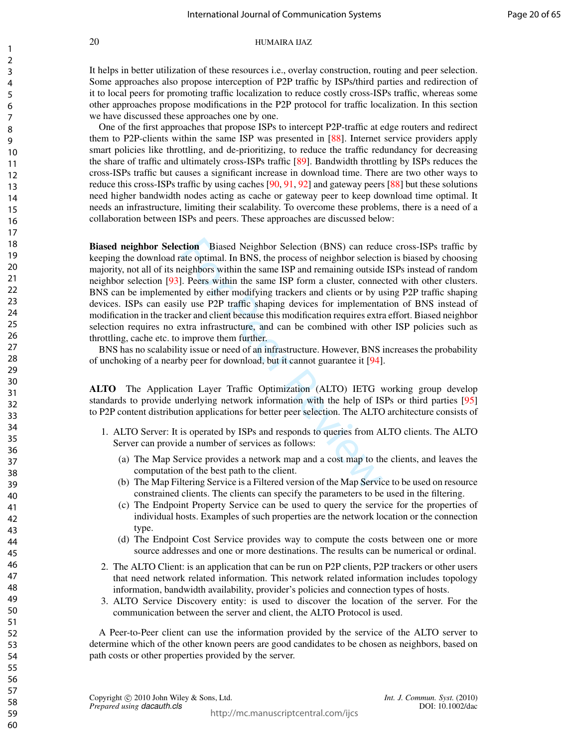## Page 20 of 65

## 20 HUMAIRA IJAZ

It helps in better utilization of these resources i.e., overlay construction, routing and peer selection. Some approaches also propose interception of P2P traffic by ISPs/third parties and redirection of it to local peers for promoting traffic localization to reduce costly cross-ISPs traffic, whereas some other approaches propose modifications in the P2P protocol for traffic localization. In this section we have discussed these approaches one by one.

One of the first approaches that propose ISPs to intercept P2P-traffic at edge routers and redirect them to P2P-clients within the same ISP was presented in [88]. Internet service providers apply smart policies like throttling, and de-prioritizing, to reduce the traffic redundancy for decreasing the share of traffic and ultimately cross-ISPs traffic [89]. Bandwidth throttling by ISPs reduces the cross-ISPs traffic but causes a significant increase in download time. There are two other ways to reduce this cross-ISPs traffic by using caches [90, 91, 92] and gateway peers [88] but these solutions need higher bandwidth nodes acting as cache or gateway peer to keep download time optimal. It needs an infrastructure, limiting their scalability. To overcome these problems, there is a need of a collaboration between ISPs and peers. These approaches are discussed below:

**crion** Biased Neighbor Selection (BNS) can reducted ate optimal. In BNS, the process of neighbor selectively<br>blow such at ESP and remaining outsiddel. Peers within the same ISP and remaining outside<br>pl. Peers within the s Biased neighbor Selection Biased Neighbor Selection (BNS) can reduce cross-ISPs traffic by keeping the download rate optimal. In BNS, the process of neighbor selection is biased by choosing majority, not all of its neighbors within the same ISP and remaining outside ISPs instead of random neighbor selection [93]. Peers within the same ISP form a cluster, connected with other clusters. BNS can be implemented by either modifying trackers and clients or by using P2P traffic shaping devices. ISPs can easily use P2P traffic shaping devices for implementation of BNS instead of modification in the tracker and client because this modification requires extra effort. Biased neighbor selection requires no extra infrastructure, and can be combined with other ISP policies such as throttling, cache etc. to improve them further.

BNS has no scalability issue or need of an infrastructure. However, BNS increases the probability of unchoking of a nearby peer for download, but it cannot guarantee it [94].

ALTO The Application Layer Traffic Optimization (ALTO) IETG working group develop standards to provide underlying network information with the help of ISPs or third parties [95] to P2P content distribution applications for better peer selection. The ALTO architecture consists of

- 1. ALTO Server: It is operated by ISPs and responds to queries from ALTO clients. The ALTO Server can provide a number of services as follows:
	- (a) The Map Service provides a network map and a cost map to the clients, and leaves the computation of the best path to the client.
	- (b) The Map Filtering Service is a Filtered version of the Map Service to be used on resource constrained clients. The clients can specify the parameters to be used in the filtering.
	- (c) The Endpoint Property Service can be used to query the service for the properties of individual hosts. Examples of such properties are the network location or the connection type.
	- (d) The Endpoint Cost Service provides way to compute the costs between one or more source addresses and one or more destinations. The results can be numerical or ordinal.
- 2. The ALTO Client: is an application that can be run on P2P clients, P2P trackers or other users that need network related information. This network related information includes topology information, bandwidth availability, provider's policies and connection types of hosts.
- 3. ALTO Service Discovery entity: is used to discover the location of the server. For the communication between the server and client, the ALTO Protocol is used.

A Peer-to-Peer client can use the information provided by the service of the ALTO server to determine which of the other known peers are good candidates to be chosen as neighbors, based on path costs or other properties provided by the server.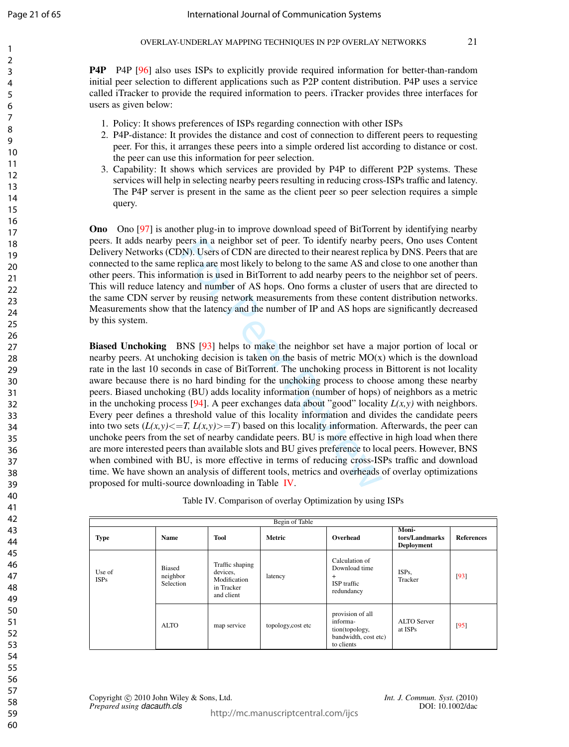$\mathbf{1}$  $\overline{2}$  $\overline{3}$  $\overline{4}$ 5 6  $\overline{7}$ 8  $\mathsf{Q}$ 

P4P P4P [96] also uses ISPs to explicitly provide required information for better-than-random initial peer selection to different applications such as P2P content distribution. P4P uses a service called iTracker to provide the required information to peers. iTracker provides three interfaces for users as given below:

- 1. Policy: It shows preferences of ISPs regarding connection with other ISPs
- 2. P4P-distance: It provides the distance and cost of connection to different peers to requesting peer. For this, it arranges these peers into a simple ordered list according to distance or cost. the peer can use this information for peer selection.
- 3. Capability: It shows which services are provided by P4P to different P2P systems. These services will help in selecting nearby peers resulting in reducing cross-ISPs traffic and latency. The P4P server is present in the same as the client peer so peer selection requires a simple query.

Ono Ono [97] is another plug-in to improve download speed of BitTorrent by identifying nearby peers. It adds nearby peers in a neighbor set of peer. To identify nearby peers, Ono uses Content Delivery Networks (CDN). Users of CDN are directed to their nearest replica by DNS. Peers that are connected to the same replica are most likely to belong to the same AS and close to one another than other peers. This information is used in BitTorrent to add nearby peers to the neighbor set of peers. This will reduce latency and number of AS hops. Ono forms a cluster of users that are directed to the same CDN server by reusing network measurements from these content distribution networks. Measurements show that the latency and the number of IP and AS hops are significantly decreased by this system.

by DN). Users of CDN are directed to their nearest replications. Users of CDN are directed to their nearest replice eplica are most likely to belong to the same AS and vation is used in BitTorrent to add nearby peers to t Biased Unchoking BNS [93] helps to make the neighbor set have a major portion of local or nearby peers. At unchoking decision is taken on the basis of metric  $MO(x)$  which is the download rate in the last 10 seconds in case of BitTorrent. The unchoking process in Bittorent is not locality aware because there is no hard binding for the unchoking process to choose among these nearby peers. Biased unchoking (BU) adds locality information (number of hops) of neighbors as a metric in the unchoking process [94]. A peer exchanges data about "good" locality  $L(x, y)$  with neighbors. Every peer defines a threshold value of this locality information and divides the candidate peers into two sets  $(L(x,y) \leq T, L(x,y) \geq T$  based on this locality information. Afterwards, the peer can unchoke peers from the set of nearby candidate peers. BU is more effective in high load when there are more interested peers than available slots and BU gives preference to local peers. However, BNS when combined with BU, is more effective in terms of reducing cross-ISPs traffic and download time. We have shown an analysis of different tools, metrics and overheads of overlay optimizations proposed for multi-source downloading in Table IV.

Table IV. Comparison of overlay Optimization by using ISPs

| Begin of Table                                                  |                                           |                                                                         |                                                                                      |                                                                            |                                              |                   |  |  |
|-----------------------------------------------------------------|-------------------------------------------|-------------------------------------------------------------------------|--------------------------------------------------------------------------------------|----------------------------------------------------------------------------|----------------------------------------------|-------------------|--|--|
| <b>Type</b>                                                     | <b>Name</b>                               | Tool                                                                    | <b>Metric</b>                                                                        | Overhead                                                                   | Moni-<br>tors/Landmarks<br><b>Deployment</b> | <b>References</b> |  |  |
| <b>Biased</b><br>Use of<br>neighbor<br><b>ISPs</b><br>Selection |                                           | Traffic shaping<br>devices,<br>Modification<br>in Tracker<br>and client | latency                                                                              | Calculation of<br>Download time<br>$+$<br><b>ISP</b> traffic<br>redundancy | ISPs,<br>Tracker                             | [93]              |  |  |
|                                                                 | ALTO<br>map service<br>topology, cost etc |                                                                         | provision of all<br>informa-<br>tion(topology,<br>bandwidth, cost etc)<br>to clients | ALTO Server<br>at ISPs                                                     | [95]                                         |                   |  |  |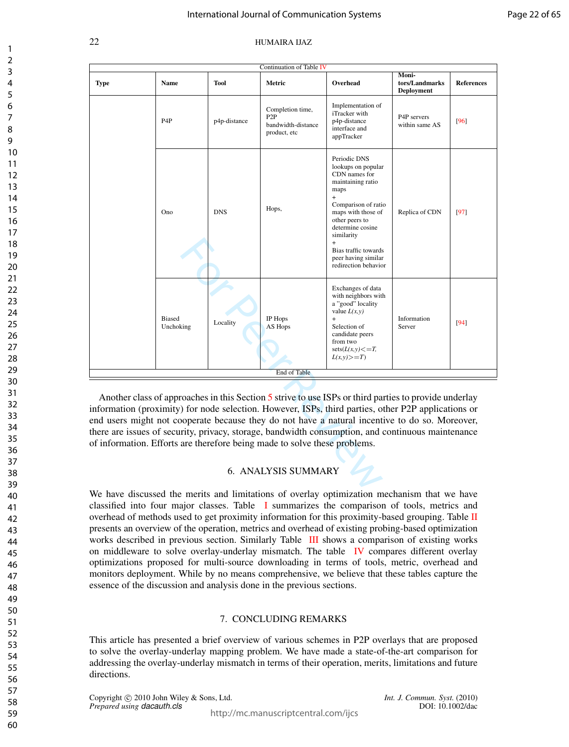|                                                                                                                                                                                                                                                                                                                                                                                                                                                                                                  |                            |              | Continuation of Table IV                                                   |                                                                                                                                                                                                                                                                              |                                              |                   |
|--------------------------------------------------------------------------------------------------------------------------------------------------------------------------------------------------------------------------------------------------------------------------------------------------------------------------------------------------------------------------------------------------------------------------------------------------------------------------------------------------|----------------------------|--------------|----------------------------------------------------------------------------|------------------------------------------------------------------------------------------------------------------------------------------------------------------------------------------------------------------------------------------------------------------------------|----------------------------------------------|-------------------|
| <b>Type</b>                                                                                                                                                                                                                                                                                                                                                                                                                                                                                      | <b>Name</b>                | Tool         | Metric                                                                     | Overhead                                                                                                                                                                                                                                                                     | Moni-<br>tors/Landmarks<br><b>Deployment</b> | <b>References</b> |
|                                                                                                                                                                                                                                                                                                                                                                                                                                                                                                  | P <sub>4</sub> P           | p4p-distance | Completion time,<br>P <sub>2</sub> P<br>bandwidth-distance<br>product, etc | Implementation of<br>iTracker with<br>p4p-distance<br>interface and<br>appTracker                                                                                                                                                                                            | P4P servers<br>within same AS                | [96]              |
|                                                                                                                                                                                                                                                                                                                                                                                                                                                                                                  | Ono                        | <b>DNS</b>   | Hops,                                                                      | Periodic DNS<br>lookups on popular<br>CDN names for<br>maintaining ratio<br>maps<br>$\ddot{}$<br>Comparison of ratio<br>maps with those of<br>other peers to<br>determine cosine<br>similarity<br>$+$<br>Bias traffic towards<br>peer having similar<br>redirection behavior | Replica of CDN                               | $[97]$            |
|                                                                                                                                                                                                                                                                                                                                                                                                                                                                                                  | <b>Biased</b><br>Unchoking | Locality     | IP Hops<br>AS Hops                                                         | Exchanges of data<br>with neighbors with<br>a "good" locality<br>value $L(x, y)$<br>$\ddot{}$<br>Selection of<br>candidate peers<br>from two<br>$sets(L(x,y) \leq T,$<br>$L(x,y) \geq T$                                                                                     | Information<br>Server                        | $[94]$            |
|                                                                                                                                                                                                                                                                                                                                                                                                                                                                                                  |                            |              | End of Table                                                               |                                                                                                                                                                                                                                                                              |                                              |                   |
| Another class of approaches in this Section 5 strive to use ISPs or third parties to provide underlay<br>information (proximity) for node selection. However, ISPs, third parties, other P2P applications or<br>end users might not cooperate because they do not have a natural incentive to do so. Moreover,<br>there are issues of security, privacy, storage, bandwidth consumption, and continuous maintenance<br>of information. Efforts are therefore being made to solve these problems. |                            |              |                                                                            |                                                                                                                                                                                                                                                                              |                                              |                   |
|                                                                                                                                                                                                                                                                                                                                                                                                                                                                                                  |                            |              | 6. ANALYSIS SUMMARY                                                        |                                                                                                                                                                                                                                                                              |                                              |                   |

## 6. ANALYSIS SUMMARY

We have discussed the merits and limitations of overlay optimization mechanism that we have classified into four major classes. Table I summarizes the comparison of tools, metrics and overhead of methods used to get proximity information for this proximity-based grouping. Table II presents an overview of the operation, metrics and overhead of existing probing-based optimization works described in previous section. Similarly Table III shows a comparison of existing works on middleware to solve overlay-underlay mismatch. The table IV compares different overlay optimizations proposed for multi-source downloading in terms of tools, metric, overhead and monitors deployment. While by no means comprehensive, we believe that these tables capture the essence of the discussion and analysis done in the previous sections.

## 7. CONCLUDING REMARKS

This article has presented a brief overview of various schemes in P2P overlays that are proposed to solve the overlay-underlay mapping problem. We have made a state-of-the-art comparison for addressing the overlay-underlay mismatch in terms of their operation, merits, limitations and future directions.

Copyright © 2010 John Wiley & Sons, Ltd. *Int. J. Commun. Syst.* (2010)<br>*Prepared using dacauth.cls* DOI: 10.1002/dac *Prepared using dacauth.cls*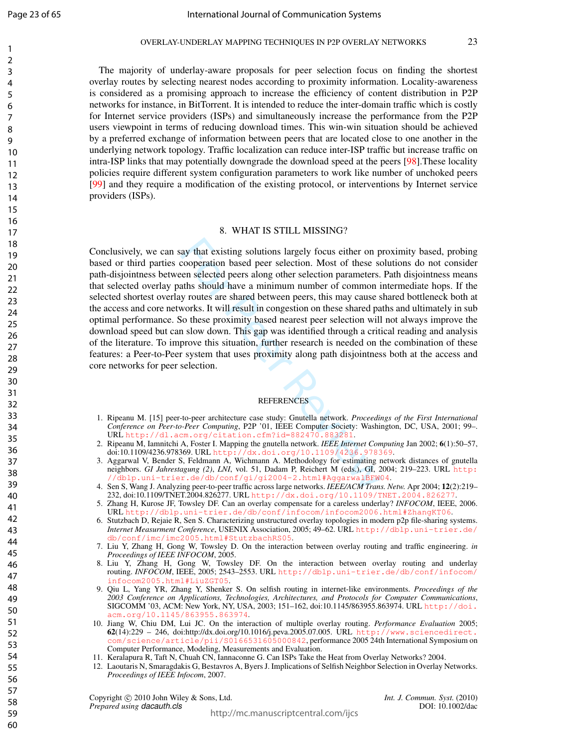$\mathbf{1}$  $\overline{2}$  $\overline{3}$  $\overline{4}$ 5 6  $\overline{7}$ 8  $\mathsf{Q}$ 

The majority of underlay-aware proposals for peer selection focus on finding the shortest overlay routes by selecting nearest nodes according to proximity information. Locality-awareness is considered as a promising approach to increase the efficiency of content distribution in P2P networks for instance, in BitTorrent. It is intended to reduce the inter-domain traffic which is costly for Internet service providers (ISPs) and simultaneously increase the performance from the P2P users viewpoint in terms of reducing download times. This win-win situation should be achieved by a preferred exchange of information between peers that are located close to one another in the underlying network topology. Traffic localization can reduce inter-ISP traffic but increase traffic on intra-ISP links that may potentially downgrade the download speed at the peers [98].These locality policies require different system configuration parameters to work like number of unchoked peers [99] and they require a modification of the existing protocol, or interventions by Internet service providers (ISPs).

#### 8. WHAT IS STILL MISSING?

aay that existing solutions largely focus either on p<br>cooperation based peer selection. Most of these sc<br>een selected peers along other selection parameters.<br>aths should have a minimum number of common i<br>y routes are share Conclusively, we can say that existing solutions largely focus either on proximity based, probing based or third parties cooperation based peer selection. Most of these solutions do not consider path-disjointness between selected peers along other selection parameters. Path disjointness means that selected overlay paths should have a minimum number of common intermediate hops. If the selected shortest overlay routes are shared between peers, this may cause shared bottleneck both at the access and core networks. It will result in congestion on these shared paths and ultimately in sub optimal performance. So these proximity based nearest peer selection will not always improve the download speed but can slow down. This gap was identified through a critical reading and analysis of the literature. To improve this situation, further research is needed on the combination of these features: a Peer-to-Peer system that uses proximity along path disjointness both at the access and core networks for peer selection.

#### REFERENCES

- 1. Ripeanu M. [15] peer-to-peer architecture case study: Gnutella network. *Proceedings of the First International Conference on Peer-to-Peer Computing*, P2P '01, IEEE Computer Society: Washington, DC, USA, 2001; 99–. URL <http://dl.acm.org/citation.cfm?id=882470.883281> .
- 2. Ripeanu M, Iamnitchi A, Foster I. Mapping the gnutella network. *IEEE Internet Computing* Jan 2002; 6(1):50–57, doi:10.1109/4236.978369. URL http://dx.doi.org/10.1109/4236.978369 .
- 3. Aggarwal V, Bender S, Feldmann A, Wichmann A. Methodology for estimating network distances of gnutella neighbors. *GI Jahrestagung (2)* , *LNI*, vol. 51, Dadam P, Reichert M (eds.), GI, 2004; 219–223. URL [http:](http://dblp.uni-trier.de/db/conf/gi/gi2004-2.html#AggarwalBFW04) [//dblp.uni-trier.de/db/conf/gi/gi2004-2.html#AggarwalBFW04](http://dblp.uni-trier.de/db/conf/gi/gi2004-2.html#AggarwalBFW04) .
- 4. Sen S, Wang J. Analyzing peer-to-peer traffic across large networks. *IEEE/ACM Trans. Netw.* Apr 2004; 12(2):219– 232, doi:10.1109/TNET.2004.826277. URL <http://dx.doi.org/10.1109/TNET.2004.826277> .
- 5. Zhang H, Kurose JF, Towsley DF. Can an overlay compensate for a careless underlay? *INFOCOM*, IEEE, 2006. URL <http://dblp.uni-trier.de/db/conf/infocom/infocom2006.html#ZhangKT06> .
- 6. Stutzbach D, Rejaie R, Sen S. Characterizing unstructured overlay topologies in modern p2p file-sharing systems. *Internet Measurment Conference*, USENIX Association, 2005; 49–62. URL [http://dblp.uni-trier.de/](http://dblp.uni-trier.de/db/conf/imc/imc2005.html#StutzbachRS05) [db/conf/imc/imc2005.html#StutzbachRS05](http://dblp.uni-trier.de/db/conf/imc/imc2005.html#StutzbachRS05) .
- 7. Liu Y, Zhang H, Gong W, Towsley D. On the interaction between overlay routing and traffic engineering. *in Proceedings of IEEE INFOCOM*, 2005.
- 8. Liu Y, Zhang H, Gong W, Towsley DF. On the interaction between overlay routing and underlay routing. *INFOCOM*, IEEE, 2005; 2543–2553. URL [http://dblp.uni-trier.de/db/conf/infocom/](http://dblp.uni-trier.de/db/conf/infocom/infocom2005.html#LiuZGT05) [infocom2005.html#LiuZGT05](http://dblp.uni-trier.de/db/conf/infocom/infocom2005.html#LiuZGT05) .
- 9. Qiu L, Yang YR, Zhang Y, Shenker S. On selfish routing in internet-like environments. *Proceedings of the 2003 Conference on Applications, Technologies, Architectures, and Protocols for Computer Communications* , SIGCOMM '03, ACM: New York, NY, USA, 2003; 151–162, doi:10.1145/863955.863974. URL [http://doi.](http://doi.acm.org/10.1145/863955.863974) [acm.org/10.1145/863955.863974](http://doi.acm.org/10.1145/863955.863974) .
- 10. Jiang W, Chiu DM, Lui JC. On the interaction of multiple overlay routing. *Performance Evaluation* 2005; 62(14):229 – 246, doi:http://dx.doi.org/10.1016/j.peva.2005.07.005. URL [http://www.sciencedirect.](http://www.sciencedirect.com/science/article/pii/S0166531605000842) [com/science/article/pii/S0166531605000842](http://www.sciencedirect.com/science/article/pii/S0166531605000842), performance 2005 24th International Symposium on Computer Performance, Modeling, Measurements and Evaluation.
- 11. Keralapura R, Taft N, Chuah CN, Iannaconne G. Can ISPs Take the Heat from Overlay Networks? 2004.
- 12. Laoutaris N, Smaragdakis G, Bestavros A, Byers J. Implications of Selfish Neighbor Selection in Overlay Networks. *Proceedings of IEEE Infocom*, 2007.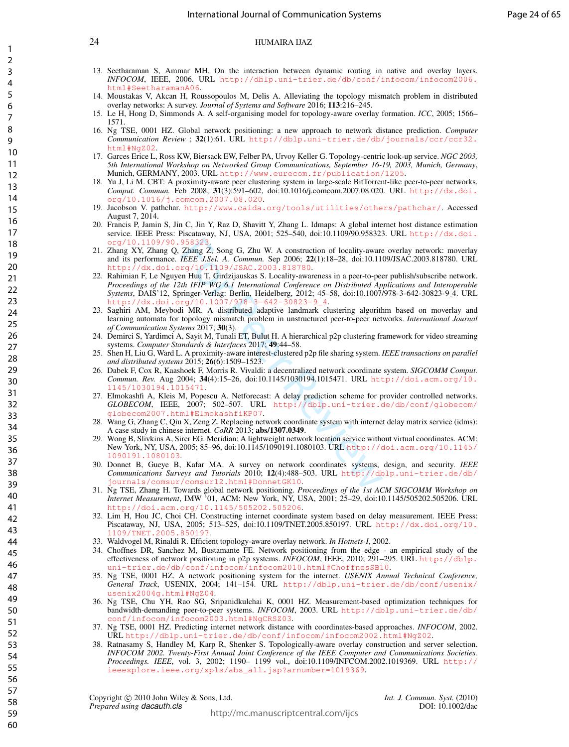- 13. Seetharaman S, Ammar MH. On the interaction between dynamic routing in native and overlay layers. *INFOCOM*, IEEE, 2006. URL [http://dblp.uni-trier.de/db/conf/infocom/infocom2006.](http://dblp.uni-trier.de/db/conf/infocom/infocom2006.html#SeetharamanA06) [html#SeetharamanA06](http://dblp.uni-trier.de/db/conf/infocom/infocom2006.html#SeetharamanA06).
- 14. Moustakas V, Akcan H, Roussopoulos M, Delis A. Alleviating the topology mismatch problem in distributed overlay networks: A survey. *Journal of Systems and Software* 2016; 113:216–245.
- 15. Le H, Hong D, Simmonds A. A self-organising model for topology-aware overlay formation. *ICC*, 2005; 1566– 1571.
- 16. Ng TSE, 0001 HZ. Global network positioning: a new approach to network distance prediction. *Computer Communication Review* ; 32(1):61. URL [http://dblp.uni-trier.de/db/journals/ccr/ccr32.](http://dblp.uni-trier.de/db/journals/ccr/ccr32.html#NgZ02)  $h$ tml#NgZ02
- 17. Garces Erice L, Ross KW, Biersack EW, Felber PA, Urvoy Keller G. Topology-centric look-up service. *NGC 2003, 5th International Workshop on Networked Group Communications, September 16-19, 2003, Munich, Germany*, Munich, GERMANY, 2003. URL <http://www.eurecom.fr/publication/1205>.
- 18. Yu J, Li M. CBT: A proximity-aware peer clustering system in large-scale BitTorrent-like peer-to-peer networks. *Comput. Commun.* Feb 2008; 31(3):591–602, doi:10.1016/j.comcom.2007.08.020. URL [http://dx.doi.](http://dx.doi.org/10.1016/j.comcom.2007.08.020) [org/10.1016/j.comcom.2007.08.020](http://dx.doi.org/10.1016/j.comcom.2007.08.020).
- 19. Jacobson V. pathchar. http://www.caida.org/tools/utilities/others/pathchar/. Accessed August 7, 2014.
- 20. Francis P, Jamin S, Jin C, Jin Y, Raz D, Shavitt Y, Zhang L. Idmaps: A global internet host distance estimation service. IEEE Press: Piscataway, NJ, USA, 2001; 525–540, doi:10.1109/90.958323. URL [http://dx.doi.](http://dx.doi.org/10.1109/90.958323) [org/10.1109/90.958323](http://dx.doi.org/10.1109/90.958323).
- 21. Zhang XY, Zhang Q, Zhang Z, Song G, Zhu W. A construction of locality-aware overlay network: moverlay and its performance. *IEEE J.Sel. A. Commun.* Sep 2006; 22(1):18–28, doi:10.1109/JSAC.2003.818780. URL <http://dx.doi.org/10.1109/JSAC.2003.818780>.
- 958323.<br>
Zhang Z, Song G, Zhu W. A construction of locality-awar<br>
Zheng Z, Song G, Zhu W. A construction of locality-awar<br>
TEEE J.Sel. A. Commun. Sep 2006; 22(1):18–28, doi:10.11<br>
rg/10.1109/JSAC.2003.818780.<br>
The HT WG 6 22. Rahimian F, Le Nguyen Huu T, Girdzijauskas S. Locality-awareness in a peer-to-peer publish/subscribe network. *Proceedings of the 12th IFIP WG 6.1 International Conference on Distributed Applications and Interoperable Systems*, DAIS'12, Springer-Verlag: Berlin, Heidelberg, 2012; 45–58, doi:10.1007/978-3-642-30823-9 4. URL [http://dx.doi.org/10.1007/978-3-642-30823-9\\_4](http://dx.doi.org/10.1007/978-3-642-30823-9_4).
- 23. Saghiri AM, Meybodi MR. A distributed adaptive landmark clustering algorithm based on moverlay and learning automata for topology mismatch problem in unstructured peer-to-peer networks. *International Journal of Communication Systems* 2017; 30(3).
- 24. Demirci S, Yardimci A, Sayit M, Tunali ET, Bulut H. A hierarchical p2p clustering framework for video streaming systems. *Computer Standards & Interfaces* 2017; 49:44–58.
- 25. Shen H, Liu G, Ward L. A proximity-aware interest-clustered p2p file sharing system. *IEEE transactions on parallel and distributed systems* 2015; 26(6):1509–1523.
- 26. Dabek F, Cox R, Kaashoek F, Morris R. Vivaldi: a decentralized network coordinate system. *SIGCOMM Comput. Commun. Rev.* Aug 2004; 34(4):15–26, doi:10.1145/1030194.1015471. URL [http://doi.acm.org/10.](http://doi.acm.org/10.1145/1030194.1015471) 145/1030194.10154
- 27. Elmokashfi A, Kleis M, Popescu A. Netforecast: A delay prediction scheme for provider controlled networks. *GLOBECOM*, IEEE, 2007; 502–507. URL [http://dblp.uni-trier.de/db/conf/globecom/](http://dblp.uni-trier.de/db/conf/globecom/globecom2007.html#ElmokashfiKP07) [globecom2007.html#ElmokashfiKP07](http://dblp.uni-trier.de/db/conf/globecom/globecom2007.html#ElmokashfiKP07).
- 28. Wang G, Zhang C, Qiu X, Zeng Z. Replacing network coordinate system with internet delay matrix service (idms): A case study in chinese internet. *CoRR* 2013; abs/1307.0349.
- 29. Wong B, Slivkins A, Sirer EG. Meridian: A lightweight network location service without virtual coordinates. ACM: New York, NY, USA, 2005; 85–96, doi:10.1145/1090191.1080103. URL [http://doi.acm.org/10.1145/](http://doi.acm.org/10.1145/1090191.1080103) [1090191.1080103](http://doi.acm.org/10.1145/1090191.1080103).
- 30. Donnet B, Gueye B, Kafar MA. A survey on network coordinates systems, design, and security. *IEEE Communications Surveys and Tutorials* 2010; 12(4):488–503. URL [http://dblp.uni-trier.de/db/](http://dblp.uni-trier.de/db/journals/comsur/comsur12.html#DonnetGK10) [journals/comsur/comsur12.html#DonnetGK10](http://dblp.uni-trier.de/db/journals/comsur/comsur12.html#DonnetGK10).
- 31. Ng TSE, Zhang H. Towards global network positioning. *Proceedings of the 1st ACM SIGCOMM Workshop on Internet Measurement*, IMW '01, ACM: New York, NY, USA, 2001; 25–29, doi:10.1145/505202.505206. URL <http://doi.acm.org/10.1145/505202.505206>.
- 32. Lim H, Hou JC, Choi CH. Constructing internet coordinate system based on delay measurement. IEEE Press: Piscataway, NJ, USA, 2005; 513–525, doi:10.1109/TNET.2005.850197. URL [http://dx.doi.org/10.](http://dx.doi.org/10.1109/TNET.2005.850197) [1109/TNET.2005.850197](http://dx.doi.org/10.1109/TNET.2005.850197).
- 33. Waldvogel M, Rinaldi R. Efficient topology-aware overlay network. *In Hotnets-I*, 2002.
- 34. Choffnes DR, Sanchez M, Bustamante FE. Network positioning from the edge an empirical study of the effectiveness of network positioning in p2p systems. *INFOCOM*, IEEE, 2010; 291–295. URL [http://dblp.](http://dblp.uni-trier.de/db/conf/infocom/infocom2010.html#ChoffnesSB10) [uni-trier.de/db/conf/infocom/infocom2010.html#ChoffnesSB10](http://dblp.uni-trier.de/db/conf/infocom/infocom2010.html#ChoffnesSB10).
- 35. Ng TSE, 0001 HZ. A network positioning system for the internet. *USENIX Annual Technical Conference, General Track*, USENIX, 2004; 141–154. URL [http://dblp.uni-trier.de/db/conf/usenix/](http://dblp.uni-trier.de/db/conf/usenix/usenix2004g.html#NgZ04) [usenix2004g.html#NgZ04](http://dblp.uni-trier.de/db/conf/usenix/usenix2004g.html#NgZ04).
- 36. Ng TSE, Chu YH, Rao SG, Sripanidkulchai K, 0001 HZ. Measurement-based optimization techniques for bandwidth-demanding peer-to-peer systems. *INFOCOM*, 2003. URL [http://dblp.uni-trier.de/db/](http://dblp.uni-trier.de/db/conf/infocom/infocom2003.html#NgCRSZ03) [conf/infocom/infocom2003.html#NgCRSZ03](http://dblp.uni-trier.de/db/conf/infocom/infocom2003.html#NgCRSZ03).
- 37. Ng TSE, 0001 HZ. Predicting internet network distance with coordinates-based approaches. *INFOCOM*, 2002. URL <http://dblp.uni-trier.de/db/conf/infocom/infocom2002.html#NgZ02>.
- 38. Ratnasamy S, Handley M, Karp R, Shenker S. Topologically-aware overlay construction and server selection. *INFOCOM 2002. Twenty-First Annual Joint Conference of the IEEE Computer and Communications Societies. Proceedings. IEEE*, vol. 3, 2002; 1190– 1199 vol., doi:10.1109/INFCOM.2002.1019369. URL [http://](http://ieeexplore.ieee.org/xpls/abs_all.jsp?arnumber=1019369) [ieeexplore.ieee.org/xpls/abs\\_all.jsp?arnumber=1019369](http://ieeexplore.ieee.org/xpls/abs_all.jsp?arnumber=1019369).

Copyright © 2010 John Wiley & Sons, Ltd. *Int. J. Commun. Syst.* (2010)<br>*Prepared using dacauth.cls* DOI: 10.1002/dac *Prepared using dacauth.cls*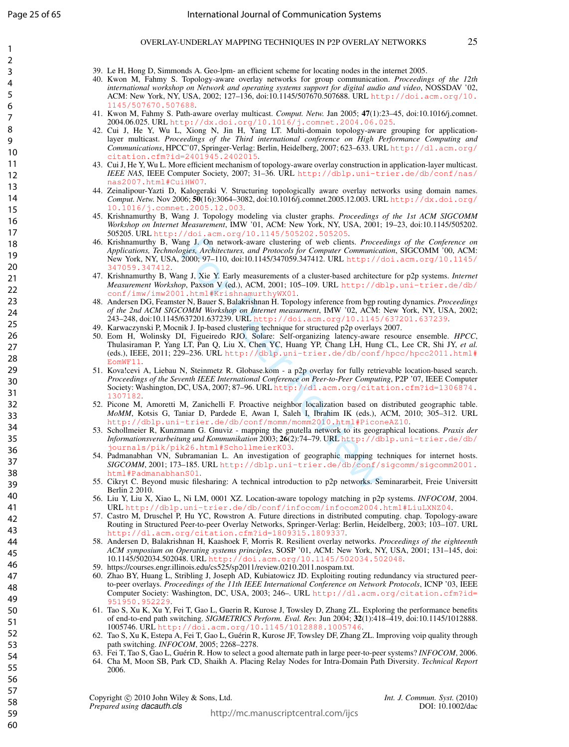$\mathbf{1}$  $\overline{2}$  $\overline{3}$  $\overline{4}$ 5 6  $\overline{7}$ 8  $\mathsf{Q}$ 

- 39. Le H, Hong D, Simmonds A. Geo-lpm- an efficient scheme for locating nodes in the internet 2005.
- 40. Kwon M, Fahmy S. Topology-aware overlay networks for group communication. *Proceedings of the 12th international workshop on Network and operating systems support for digital audio and video*, NOSSDAV '02, ACM: New York, NY, USA, 2002; 127–136, doi:10.1145/507670.507688. URL [http://doi.acm.org/10.](http://doi.acm.org/10.1145/507670.507688) [1145/507670.507688](http://doi.acm.org/10.1145/507670.507688) .
- 41. Kwon M, Fahmy S. Path-aware overlay multicast. *Comput. Netw.* Jan 2005; 47(1):23–45, doi:10.1016/j.comnet. 2004.06.025. URL <http://dx.doi.org/10.1016/j.comnet.2004.06.025> .
- 42. Cui J, He Y, Wu L, Xiong N, Jin H, Yang LT. Multi-domain topology-aware grouping for applicationlayer multicast. *Proceedings of the Third international conference on High Performance Computing and Communications*, HPCC'07, Springer-Verlag: Berlin, Heidelberg, 2007; 623–633. URL [http://dl.acm.org/](http://dl.acm.org/citation.cfm?id=2401945.2402015) [citation.cfm?id=2401945.2402015](http://dl.acm.org/citation.cfm?id=2401945.2402015) .
- 43. Cui J, He Y, Wu L. More efficient mechanism of topology-aware overlay construction in application-layer multicast. *IEEE NAS*, IEEE Computer Society, 2007; 31–36. URL [http://dblp.uni-trier.de/db/conf/nas/](http://dblp.uni-trier.de/db/conf/nas/nas2007.html#CuiHW07) [nas2007.html#CuiHW07](http://dblp.uni-trier.de/db/conf/nas/nas2007.html#CuiHW07) .
- 44. Zeinalipour-Yazti D, Kalogeraki V. Structuring topologically aware overlay networks using domain names. *Comput. Netw.* Nov 2006; 50(16):3064–3082, doi:10.1016/j.comnet.2005.12.003. URL [http://dx.doi.org/](http://dx.doi.org/10.1016/j.comnet.2005.12.003) [10.1016/j.comnet.2005.12.003](http://dx.doi.org/10.1016/j.comnet.2005.12.003) .
- 45. Krishnamurthy B, Wang J. Topology modeling via cluster graphs. *Proceedings of the 1st ACM SIGCOMM Workshop on Internet Measurement*, IMW '01, ACM: New York, NY, USA, 2001; 19–23, doi:10.1145/505202. 505205. URL <http://doi.acm.org/10.1145/505202.505205> .
- 46. Krishnamurthy B, Wang J. On network-aware clustering of web clients. *Proceedings of the Conference on Applications, Technologies, Architectures, and Protocols for Computer Communication*, SIGCOMM '00, ACM: New York, NY, USA, 2000; 97–110, doi:10.1145/347059.347412. URL [http://doi.acm.org/10.1145/](http://doi.acm.org/10.1145/347059.347412) 847059.34 .
- 47. Krishnamurthy B, Wang J, Xie Y. Early measurements of a cluster-based architecture for p2p systems. *Internet Measurement Workshop*, Paxson V (ed.), ACM, 2001; 105–109. URL [http://dblp.uni-trier.de/db/](http://dblp.uni-trier.de/db/conf/imw/imw2001.html#KrishnamurthyWX01) [conf/imw/imw2001.html#KrishnamurthyWX01](http://dblp.uni-trier.de/db/conf/imw/imw2001.html#KrishnamurthyWX01) .
- 48. Andersen DG, Feamster N, Bauer S, Balakrishnan H. Topology inference from bgp routing dynamics. *Proceedings of the 2nd ACM SIGCOMM Workshop on Internet measurment*, IMW '02, ACM: New York, NY, USA, 2002; 243–248, doi:10.1145/637201.637239. URL <http://doi.acm.org/10.1145/637201.637239> .
- 49. Karwaczynski P, Mocnik J. Ip-based clustering technique for structured p2p overlays 2007.
- 50. Eom H, Wolinsky DI, Figueiredo RJO. Solare: Self-organizing latency-aware resource ensemble. *HPCC* , Thulasiraman P, Yang LT, Pan Q, Liu X, Chen YC, Huang YP, Chang LH, Hung CL, Lee CR, Shi JY, *et al.* (eds.), IEEE, 2011; 229–236. URL [http://dblp.uni-trier.de/db/conf/hpcc/hpcc2011.html#](http://dblp.uni-trier.de/db/conf/hpcc/hpcc2011.html#EomWF11) [EomWF11](http://dblp.uni-trier.de/db/conf/hpcc/hpcc2011.html#EomWF11) .
- ng J. On network-aware clustering of web clients. *Procee*<br>gies, Architectures, and Protocols for Computer Communication,  $\frac{2000}{110}$ ,  $\frac{97-110}{100}$ , ties and Protocols for Computer Communication<br>g. J. Xie Y. Early m 51. Kova!cevi A, Liebau N, Steinmetz R. Globase.kom - a p2p overlay for fully retrievable location-based search. *Proceedings of the Seventh IEEE International Conference on Peer-to-Peer Computing*, P2P '07, IEEE Computer Society: Washington, DC, USA, 2007; 87–96. URL [http://dl.acm.org/citation.cfm?id=1306874.](http://dl.acm.org/citation.cfm?id=1306874.1307182) 130713 .
- 52. Picone M, Amoretti M, Zanichelli F. Proactive neighbor localization based on distributed geographic table. *MoMM*, Kotsis G, Taniar D, Pardede E, Awan I, Saleh I, Ibrahim IK (eds.), ACM, 2010; 305–312. URL <http://dblp.uni-trier.de/db/conf/momm/momm2010.html#PiconeAZ10> .
- 53. Schollmeier R, Kunzmann G. Gnuviz mapping the gnutella network to its geographical locations. *Praxis der Informationsverarbeitung und Kommunikation* 2003; 26(2):74–79. URL [http://dblp.uni-trier.de/db/](http://dblp.uni-trier.de/db/journals/pik/pik26.html#SchollmeierK03) [journals/pik/pik26.html#SchollmeierK03](http://dblp.uni-trier.de/db/journals/pik/pik26.html#SchollmeierK03) .
- 54. Padmanabhan VN, Subramanian L. An investigation of geographic mapping techniques for internet hosts. *SIGCOMM*, 2001; 173–185. URL [http://dblp.uni-trier.de/db/conf/sigcomm/sigcomm2001.](http://dblp.uni-trier.de/db/conf/sigcomm/sigcomm2001.html#PadmanabhanS01) [html#PadmanabhanS01](http://dblp.uni-trier.de/db/conf/sigcomm/sigcomm2001.html#PadmanabhanS01) .
- 55. Cikryt C. Beyond music filesharing: A technical introduction to p2p networks. Seminararbeit, Freie Universitt Berlin 2 2010.
- 56. Liu Y, Liu X, Xiao L, Ni LM, 0001 XZ. Location-aware topology matching in p2p systems. *INFOCOM*, 2004. URL <http://dblp.uni-trier.de/db/conf/infocom/infocom2004.html#LiuLXNZ04> .
- 57. Castro M, Druschel P, Hu YC, Rowstron A. Future directions in distributed computing. chap. Topology-aware Routing in Structured Peer-to-peer Overlay Networks, Springer-Verlag: Berlin, Heidelberg, 2003; 103–107. URL <http://dl.acm.org/citation.cfm?id=1809315.1809337> .
- 58. Andersen D, Balakrishnan H, Kaashoek F, Morris R. Resilient overlay networks. *Proceedings of the eighteenth ACM symposium on Operating systems principles*, SOSP '01, ACM: New York, NY, USA, 2001; 131–145, doi: 10.1145/502034.502048. URL <http://doi.acm.org/10.1145/502034.502048> .
- 59. https://courses.engr.illinois.edu/cs525/sp2011/review.0210.2011.nospam.txt.
- 60. Zhao BY, Huang L, Stribling J, Joseph AD, Kubiatowicz JD. Exploiting routing redundancy via structured peerto-peer overlays. *Proceedings of the 11th IEEE International Conference on Network Protocols*, ICNP '03, IEEE Computer Society: Washington, DC, USA, 2003; 246–. URL [http://dl.acm.org/citation.cfm?id=](http://dl.acm.org/citation.cfm?id=951950.952229) 951950.9 .
- 61. Tao S, Xu K, Xu Y, Fei T, Gao L, Guerin R, Kurose J, Towsley D, Zhang ZL. Exploring the performance benefits of end-to-end path switching. *SIGMETRICS Perform. Eval. Rev.* Jun 2004; 32(1):418–419, doi:10.1145/1012888. 1005746. URL <http://doi.acm.org/10.1145/1012888.1005746> .
- 62. Tao S, Xu K, Estepa A, Fei T, Gao L, Guerin R, Kurose JF, Towsley DF, Zhang ZL. Improving voip quality through ´ path switching. *INFOCOM*, 2005; 2268–2278.
- 63. Fei T, Tao S, Gao L, Guérin R. How to select a good alternate path in large peer-to-peer systems? *INFOCOM*, 2006.
- 64. Cha M, Moon SB, Park CD, Shaikh A. Placing Relay Nodes for Intra-Domain Path Diversity. *Technical Report* 2006.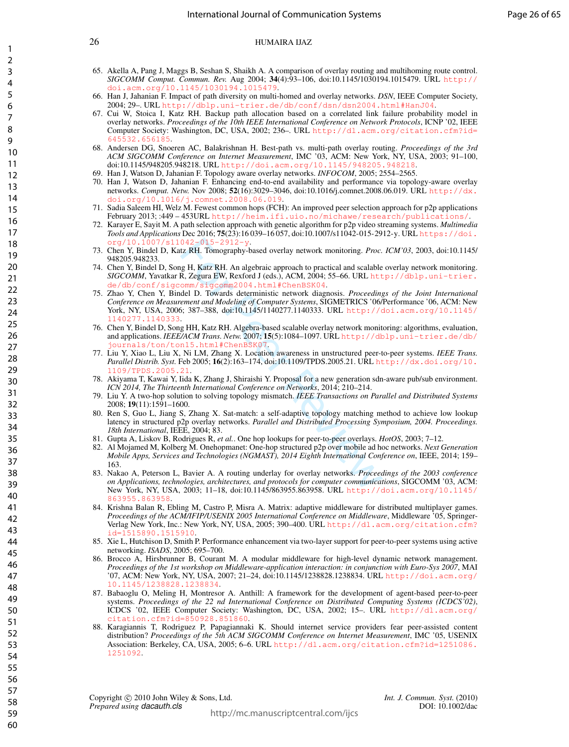- 65. Akella A, Pang J, Maggs B, Seshan S, Shaikh A. A comparison of overlay routing and multihoming route control. *SIGCOMM Comput. Commun. Rev.* Aug 2004; 34(4):93–106, doi:10.1145/1030194.1015479. URL [http://](http://doi.acm.org/10.1145/1030194.1015479) acm.org/10.1145/1030194.10154
- 66. Han J, Jahanian F. Impact of path diversity on multi-homed and overlay networks. *DSN*, IEEE Computer Society, 2004; 29–. URL <http://dblp.uni-trier.de/db/conf/dsn/dsn2004.html#HanJ04>.
- 67. Cui W, Stoica I, Katz RH. Backup path allocation based on a correlated link failure probability model in overlay networks. *Proceedings of the 10th IEEE International Conference on Network Protocols*, ICNP '02, IEEE Computer Society: Washington, DC, USA, 2002; 236–. URL [http://dl.acm.org/citation.cfm?id=](http://dl.acm.org/citation.cfm?id=645532.656185) [645532.656185](http://dl.acm.org/citation.cfm?id=645532.656185).
- 68. Andersen DG, Snoeren AC, Balakrishnan H. Best-path vs. multi-path overlay routing. *Proceedings of the 3rd ACM SIGCOMM Conference on Internet Measurement*, IMC '03, ACM: New York, NY, USA, 2003; 91–100, doi:10.1145/948205.948218. URL <http://doi.acm.org/10.1145/948205.948218>.
- 69. Han J, Watson D, Jahanian F. Topology aware overlay networks. *INFOCOM*, 2005; 2554–2565.
- 70. Han J, Watson D, Jahanian F. Enhancing end-to-end availability and performance via topology-aware overlay networks. *Comput. Netw.* Nov 2008; 52(16):3029–3046, doi:10.1016/j.comnet.2008.06.019. URL [http://dx.](http://dx.doi.org/10.1016/j.comnet.2008.06.019) [doi.org/10.1016/j.comnet.2008.06.019](http://dx.doi.org/10.1016/j.comnet.2008.06.019).
- 71. Sadia Saleem HI, Welz M. Fewest common hops (FCH): An improved peer selection approach for p2p applications February 2013; :449 – 453URL <http://heim.ifi.uio.no/michawe/research/publications/>.
- 72. Karayer E, Sayit M. A path selection approach with genetic algorithm for p2p video streaming systems. *Multimedia Tools and Applications* Dec 2016; 75(23):16 039–16 057, doi:10.1007/s11042-015-2912-y. URL [https://doi.](https://doi.org/10.1007/s11042-015-2912-y) [org/10.1007/s11042-015-2912-y](https://doi.org/10.1007/s11042-015-2912-y).
- 73. Chen Y, Bindel D, Katz RH. Tomography-based overlay network monitoring. *Proc. ICM'03*, 2003, doi:10.1145/ 948205.948233.
- 74. Chen Y, Bindel D, Song H, Katz RH. An algebraic approach to practical and scalable overlay network monitoring. *SIGCOMM*, Yavatkar R, Zegura EW, Rexford J (eds.), ACM, 2004; 55–66. URL [http://dblp.uni-trier.](http://dblp.uni-trier.de/db/conf/sigcomm/sigcomm2004.html#ChenBSK04) [de/db/conf/sigcomm/sigcomm2004.html#ChenBSK04](http://dblp.uni-trier.de/db/conf/sigcomm/sigcomm2004.html#ChenBSK04).
- 042-015-2912-y.<br>
12 RH. Tomography-based overlay network monitoring. *Proc.*<br>
12 RH. Katz RH. An algebraic approach to practical and scalable<br>
R, Zegura EW, Rexford J (eds.), ACM, 2004; 55-66. URL htt<br>
0mm/ sigcomm2004.ht 75. Zhao Y, Chen Y, Bindel D. Towards deterministic network diagnosis. *Proceedings of the Joint International Conference on Measurement and Modeling of Computer Systems*, SIGMETRICS '06/Performance '06, ACM: New York, NY, USA, 2006; 387–388, doi:10.1145/1140277.1140333. URL [http://doi.acm.org/10.1145/](http://doi.acm.org/10.1145/1140277.1140333) [1140277.1140333](http://doi.acm.org/10.1145/1140277.1140333).
- 76. Chen Y, Bindel D, Song HH, Katz RH. Algebra-based scalable overlay network monitoring: algorithms, evaluation, and applications. *IEEE/ACM Trans. Netw.* 2007; 15(5):1084–1097. URL [http://dblp.uni-trier.de/db/](http://dblp.uni-trier.de/db/journals/ton/ton15.html#ChenBSK07) [journals/ton/ton15.html#ChenBSK07](http://dblp.uni-trier.de/db/journals/ton/ton15.html#ChenBSK07).
- 77. Liu Y, Xiao L, Liu X, Ni LM, Zhang X. Location awareness in unstructured peer-to-peer systems. *IEEE Trans. Parallel Distrib. Syst.* Feb 2005; 16(2):163–174, doi:10.1109/TPDS.2005.21. URL [http://dx.doi.org/10.](http://dx.doi.org/10.1109/TPDS.2005.21) [1109/TPDS.2005.21](http://dx.doi.org/10.1109/TPDS.2005.21).
- 78. Akiyama T, Kawai Y, Iida K, Zhang J, Shiraishi Y. Proposal for a new generation sdn-aware pub/sub environment. *ICN 2014, The Thirteenth International Conference on Networks*, 2014; 210–214.
- 79. Liu Y. A two-hop solution to solving topology mismatch. *IEEE Transactions on Parallel and Distributed Systems* 2008; 19(11):1591–1600.
- 80. Ren S, Guo L, Jiang S, Zhang X. Sat-match: a self-adaptive topology matching method to achieve low lookup latency in structured p2p overlay networks. *Parallel and Distributed Processing Symposium, 2004. Proceedings. 18th International*, IEEE, 2004; 83.
- 81. Gupta A, Liskov B, Rodrigues R, *et al.*. One hop lookups for peer-to-peer overlays. *HotOS*, 2003; 7–12.
- 82. Al Mojamed M, Kolberg M. Onehopmanet: One-hop structured p2p over mobile ad hoc networks. *Next Generation Mobile Apps, Services and Technologies (NGMAST), 2014 Eighth International Conference on*, IEEE, 2014; 159– 163.
- 83. Nakao A, Peterson L, Bavier A. A routing underlay for overlay networks. *Proceedings of the 2003 conference on Applications, technologies, architectures, and protocols for computer communications*, SIGCOMM '03, ACM: New York, NY, USA, 2003; 11–18, doi:10.1145/863955.863958. URL [http://doi.acm.org/10.1145/](http://doi.acm.org/10.1145/863955.863958) [863955.863958](http://doi.acm.org/10.1145/863955.863958).
- 84. Krishna Balan R, Ebling M, Castro P, Misra A. Matrix: adaptive middleware for distributed multiplayer games. *Proceedings of the ACM/IFIP/USENIX 2005 International Conference on Middleware*, Middleware '05, Springer-Verlag New York, Inc.: New York, NY, USA, 2005; 390–400. URL [http://dl.acm.org/citation.cfm?](http://dl.acm.org/citation.cfm?id=1515890.1515910) [id=1515890.1515910](http://dl.acm.org/citation.cfm?id=1515890.1515910).
- 85. Xie L, Hutchison D, Smith P. Performance enhancement via two-layer support for peer-to-peer systems using active networking. *ISADS*, 2005; 695–700.
- 86. Brocco A, Hirsbrunner B, Courant M. A modular middleware for high-level dynamic network management. *Proceedings of the 1st workshop on Middleware-application interaction: in conjunction with Euro-Sys 2007*, MAI '07, ACM: New York, NY, USA, 2007; 21–24, doi:10.1145/1238828.1238834. URL [http://doi.acm.org/](http://doi.acm.org/10.1145/1238828.1238834) 10.1145.
- 87. Babaoglu O, Meling H, Montresor A. Anthill: A framework for the development of agent-based peer-to-peer systems. *Proceedings of the 22 nd International Conference on Distributed Computing Systems (ICDCS'02)*, ICDCS '02, IEEE Computer Society: Washington, DC, USA, 2002; 15–. URL [http://dl.acm.org/](http://dl.acm.org/citation.cfm?id=850928.851860) [citation.cfm?id=850928.851860](http://dl.acm.org/citation.cfm?id=850928.851860).
- 88. Karagiannis T, Rodriguez P, Papagiannaki K. Should internet service providers fear peer-assisted content distribution? *Proceedings of the 5th ACM SIGCOMM Conference on Internet Measurement*, IMC '05, USENIX Association: Berkeley, CA, USA, 2005; 6–6. URL [http://dl.acm.org/citation.cfm?id=1251086.](http://dl.acm.org/citation.cfm?id=1251086.1251092) [1251092](http://dl.acm.org/citation.cfm?id=1251086.1251092).

59 60